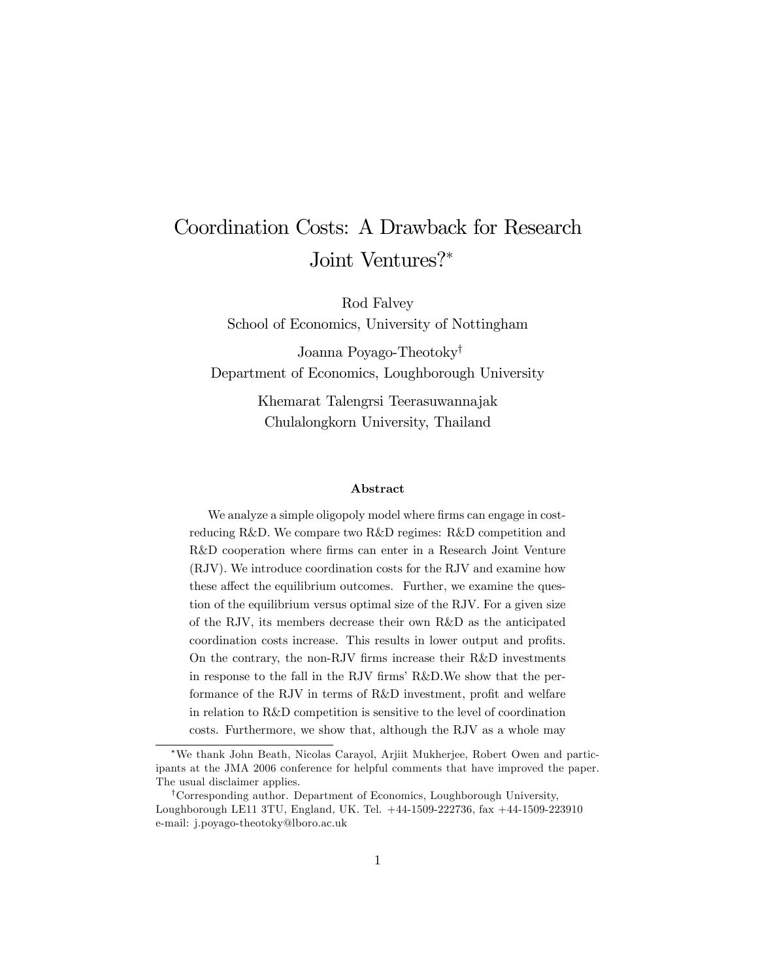# Coordination Costs: A Drawback for Research Joint Ventures?\*

Rod Falvey

School of Economics, University of Nottingham

Joanna Poyago-Theotoky<sup>†</sup> Department of Economics, Loughborough University

> Khemarat Talengrsi Teerasuwannajak Chulalongkorn University, Thailand

#### Abstract

We analyze a simple oligopoly model where firms can engage in costreducing R&D. We compare two R&D regimes: R&D competition and R&D cooperation where firms can enter in a Research Joint Venture (RJV). We introduce coordination costs for the RJV and examine how these affect the equilibrium outcomes. Further, we examine the question of the equilibrium versus optimal size of the RJV. For a given size of the RJV, its members decrease their own R&D as the anticipated coordination costs increase. This results in lower output and profits. On the contrary, the non-RJV firms increase their R&D investments in response to the fall in the RJV firms' R&D. We show that the performance of the RJV in terms of  $R&D$  investment, profit and welfare in relation to R&D competition is sensitive to the level of coordination costs. Furthermore, we show that, although the RJV as a whole may

We thank John Beath, Nicolas Carayol, Arjiit Mukherjee, Robert Owen and participants at the JMA 2006 conference for helpful comments that have improved the paper. The usual disclaimer applies.

<sup>&</sup>lt;sup>†</sup>Corresponding author. Department of Economics, Loughborough University, Loughborough LE11 3TU, England, UK. Tel. +44-1509-222736, fax +44-1509-223910 e-mail: j.poyago-theotoky@lboro.ac.uk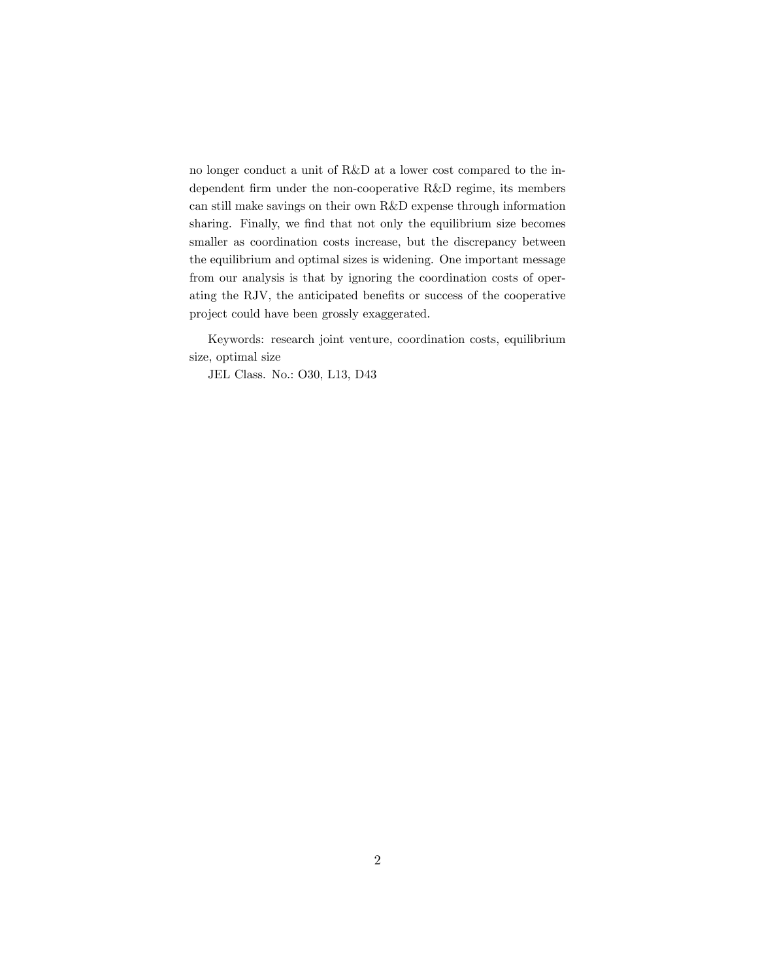no longer conduct a unit of R&D at a lower cost compared to the independent firm under the non-cooperative R&D regime, its members can still make savings on their own R&D expense through information sharing. Finally, we find that not only the equilibrium size becomes smaller as coordination costs increase, but the discrepancy between the equilibrium and optimal sizes is widening. One important message from our analysis is that by ignoring the coordination costs of operating the RJV, the anticipated benefits or success of the cooperative project could have been grossly exaggerated.

Keywords: research joint venture, coordination costs, equilibrium size, optimal size

JEL Class. No.: O30, L13, D43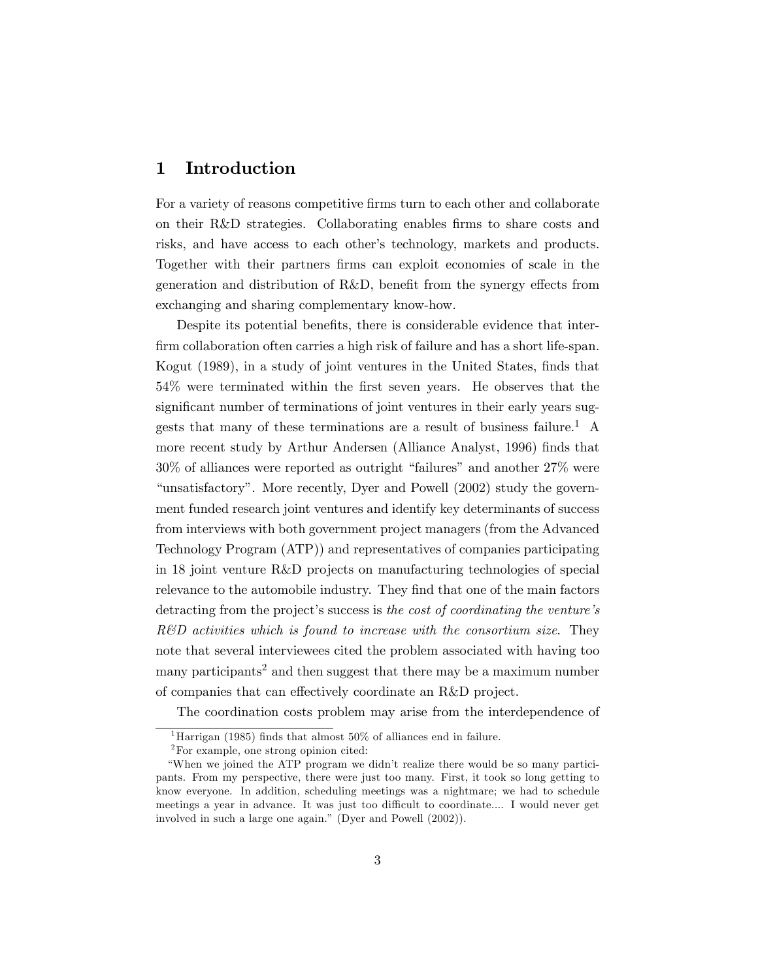### 1 Introduction

For a variety of reasons competitive firms turn to each other and collaborate on their R&D strategies. Collaborating enables firms to share costs and risks, and have access to each other's technology, markets and products. Together with their partners firms can exploit economies of scale in the generation and distribution of  $R&D$ , benefit from the synergy effects from exchanging and sharing complementary know-how.

Despite its potential benefits, there is considerable evidence that interfirm collaboration often carries a high risk of failure and has a short life-span. Kogut (1989), in a study of joint ventures in the United States, finds that 54% were terminated within the Örst seven years. He observes that the significant number of terminations of joint ventures in their early years suggests that many of these terminations are a result of business failure.<sup>1</sup> A more recent study by Arthur Andersen (Alliance Analyst, 1996) finds that  $30\%$  of alliances were reported as outright "failures" and another  $27\%$  were "unsatisfactory". More recently, Dyer and Powell (2002) study the government funded research joint ventures and identify key determinants of success from interviews with both government project managers (from the Advanced Technology Program (ATP)) and representatives of companies participating in 18 joint venture R&D projects on manufacturing technologies of special relevance to the automobile industry. They find that one of the main factors detracting from the project's success is the cost of coordinating the venture's R&D activities which is found to increase with the consortium size. They note that several interviewees cited the problem associated with having too many participants<sup>2</sup> and then suggest that there may be a maximum number of companies that can effectively coordinate an R&D project.

The coordination costs problem may arise from the interdependence of

<sup>&</sup>lt;sup>1</sup>Harrigan (1985) finds that almost 50% of alliances end in failure.

<sup>2</sup>For example, one strong opinion cited:

ìWhen we joined the ATP program we didnít realize there would be so many participants. From my perspective, there were just too many. First, it took so long getting to know everyone. In addition, scheduling meetings was a nightmare; we had to schedule meetings a year in advance. It was just too difficult to coordinate.... I would never get involved in such a large one again." (Dyer and Powell  $(2002)$ ).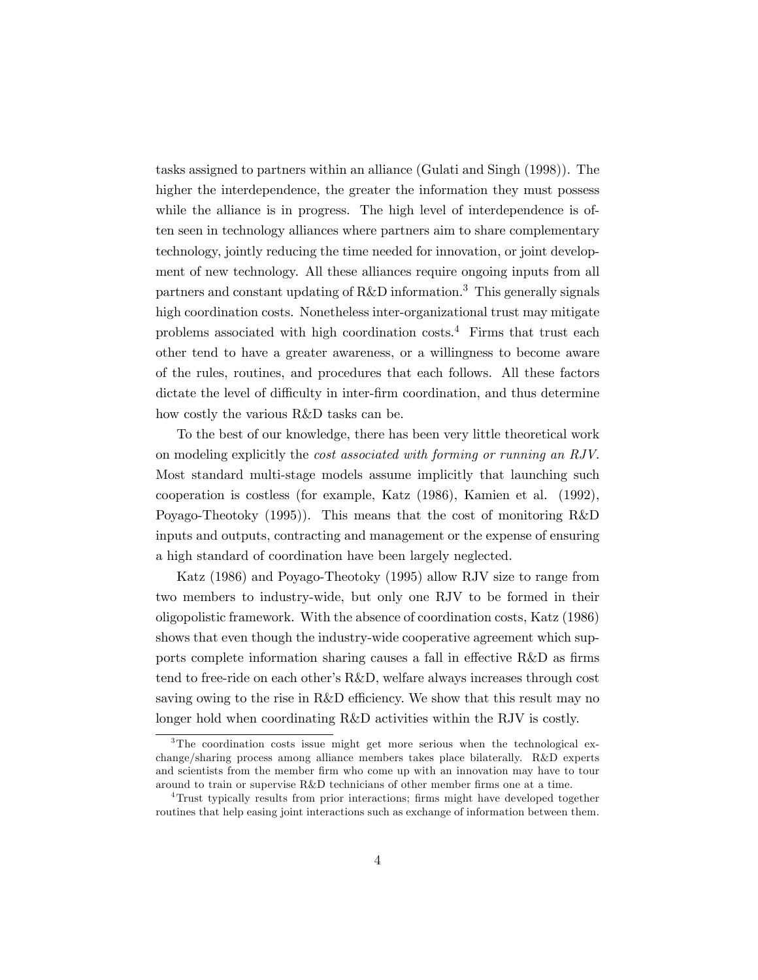tasks assigned to partners within an alliance (Gulati and Singh (1998)). The higher the interdependence, the greater the information they must possess while the alliance is in progress. The high level of interdependence is often seen in technology alliances where partners aim to share complementary technology, jointly reducing the time needed for innovation, or joint development of new technology. All these alliances require ongoing inputs from all partners and constant updating of R&D information.<sup>3</sup> This generally signals high coordination costs. Nonetheless inter-organizational trust may mitigate problems associated with high coordination costs.<sup>4</sup> Firms that trust each other tend to have a greater awareness, or a willingness to become aware of the rules, routines, and procedures that each follows. All these factors dictate the level of difficulty in inter-firm coordination, and thus determine how costly the various R&D tasks can be.

To the best of our knowledge, there has been very little theoretical work on modeling explicitly the cost associated with forming or running an RJV. Most standard multi-stage models assume implicitly that launching such cooperation is costless (for example, Katz (1986), Kamien et al. (1992), Poyago-Theotoky (1995)). This means that the cost of monitoring R&D inputs and outputs, contracting and management or the expense of ensuring a high standard of coordination have been largely neglected.

Katz (1986) and Poyago-Theotoky (1995) allow RJV size to range from two members to industry-wide, but only one RJV to be formed in their oligopolistic framework. With the absence of coordination costs, Katz (1986) shows that even though the industry-wide cooperative agreement which supports complete information sharing causes a fall in effective  $R&D$  as firms tend to free-ride on each otherís R&D, welfare always increases through cost saving owing to the rise in R&D efficiency. We show that this result may no longer hold when coordinating R&D activities within the RJV is costly.

<sup>&</sup>lt;sup>3</sup>The coordination costs issue might get more serious when the technological exchange/sharing process among alliance members takes place bilaterally. R&D experts and scientists from the member firm who come up with an innovation may have to tour around to train or supervise  $R\&D$  technicians of other member firms one at a time.

<sup>&</sup>lt;sup>4</sup>Trust typically results from prior interactions; firms might have developed together routines that help easing joint interactions such as exchange of information between them.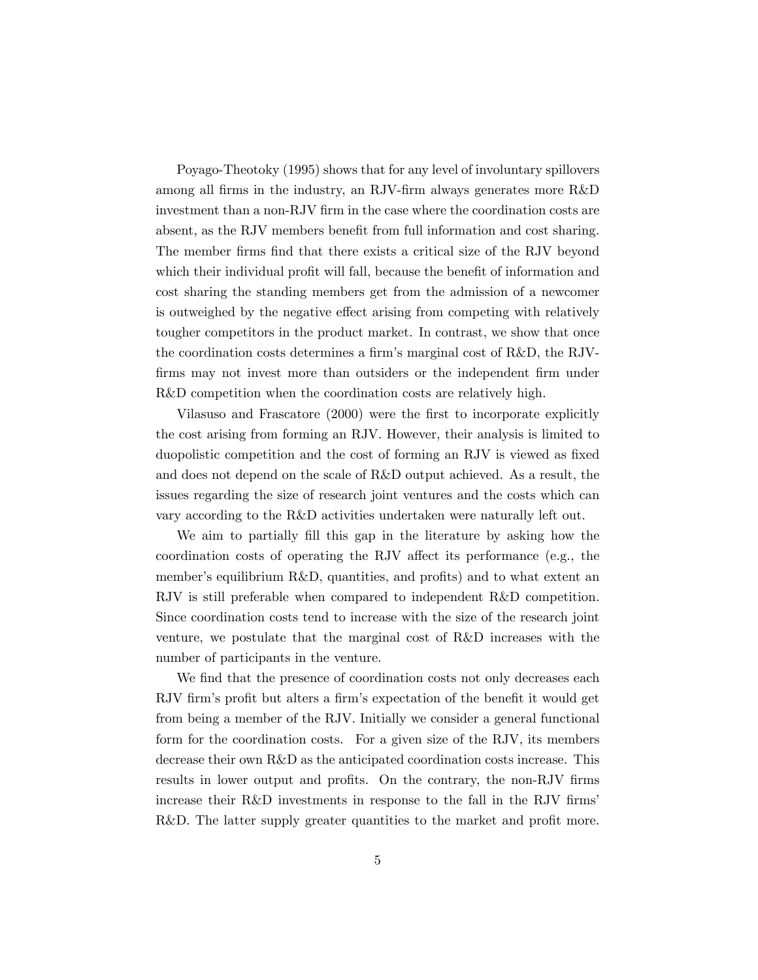Poyago-Theotoky (1995) shows that for any level of involuntary spillovers among all firms in the industry, an RJV-firm always generates more R&D investment than a non-RJV firm in the case where the coordination costs are absent, as the RJV members benefit from full information and cost sharing. The member firms find that there exists a critical size of the RJV beyond which their individual profit will fall, because the benefit of information and cost sharing the standing members get from the admission of a newcomer is outweighed by the negative effect arising from competing with relatively tougher competitors in the product market. In contrast, we show that once the coordination costs determines a firm's marginal cost of R&D, the RJVfirms may not invest more than outsiders or the independent firm under R&D competition when the coordination costs are relatively high.

Vilasuso and Frascatore (2000) were the first to incorporate explicitly the cost arising from forming an RJV. However, their analysis is limited to duopolistic competition and the cost of forming an RJV is viewed as fixed and does not depend on the scale of R&D output achieved. As a result, the issues regarding the size of research joint ventures and the costs which can vary according to the R&D activities undertaken were naturally left out.

We aim to partially fill this gap in the literature by asking how the coordination costs of operating the RJV affect its performance (e.g., the member's equilibrium R&D, quantities, and profits) and to what extent an RJV is still preferable when compared to independent R&D competition. Since coordination costs tend to increase with the size of the research joint venture, we postulate that the marginal cost of R&D increases with the number of participants in the venture.

We find that the presence of coordination costs not only decreases each RJV firm's profit but alters a firm's expectation of the benefit it would get from being a member of the RJV. Initially we consider a general functional form for the coordination costs. For a given size of the RJV, its members decrease their own R&D as the anticipated coordination costs increase. This results in lower output and profits. On the contrary, the non-RJV firms increase their R&D investments in response to the fall in the RJV firms' R&D. The latter supply greater quantities to the market and profit more.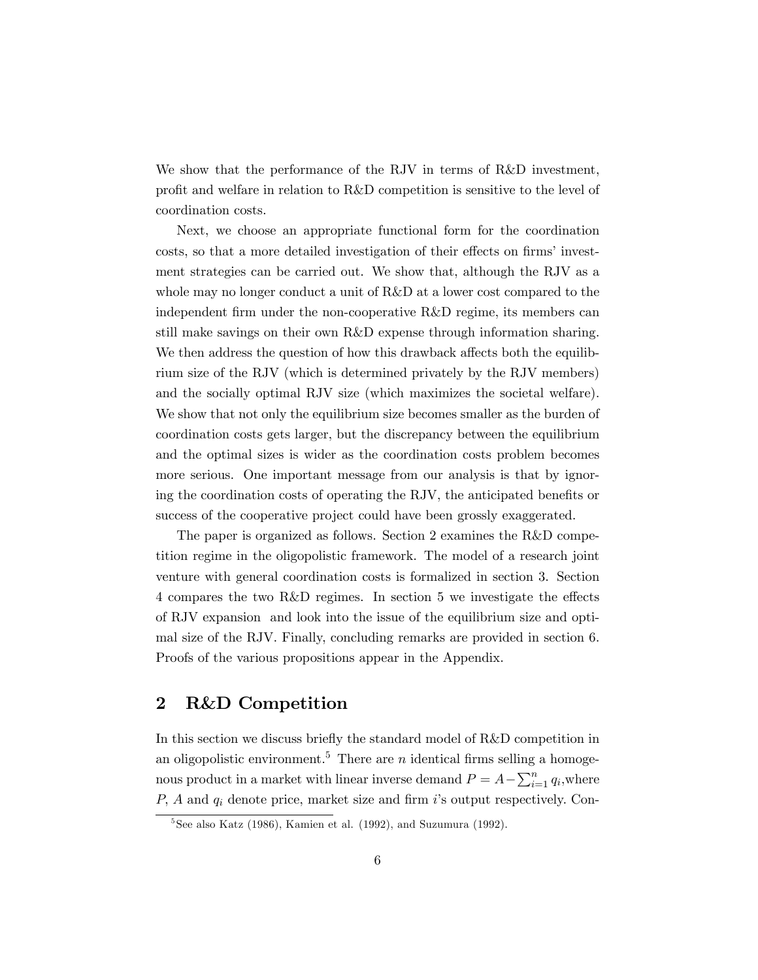We show that the performance of the RJV in terms of R&D investment, profit and welfare in relation to R&D competition is sensitive to the level of coordination costs.

Next, we choose an appropriate functional form for the coordination costs, so that a more detailed investigation of their effects on firms' investment strategies can be carried out. We show that, although the RJV as a whole may no longer conduct a unit of R&D at a lower cost compared to the independent firm under the non-cooperative R&D regime, its members can still make savings on their own R&D expense through information sharing. We then address the question of how this drawback affects both the equilibrium size of the RJV (which is determined privately by the RJV members) and the socially optimal RJV size (which maximizes the societal welfare). We show that not only the equilibrium size becomes smaller as the burden of coordination costs gets larger, but the discrepancy between the equilibrium and the optimal sizes is wider as the coordination costs problem becomes more serious. One important message from our analysis is that by ignoring the coordination costs of operating the RJV, the anticipated benefits or success of the cooperative project could have been grossly exaggerated.

The paper is organized as follows. Section 2 examines the R&D competition regime in the oligopolistic framework. The model of a research joint venture with general coordination costs is formalized in section 3. Section 4 compares the two R&D regimes. In section 5 we investigate the effects of RJV expansion and look into the issue of the equilibrium size and optimal size of the RJV. Finally, concluding remarks are provided in section 6. Proofs of the various propositions appear in the Appendix.

# 2 R&D Competition

In this section we discuss briefly the standard model of R&D competition in an oligopolistic environment.<sup>5</sup> There are *n* identical firms selling a homogenous product in a market with linear inverse demand  $P = A - \sum_{i=1}^{n} q_i$ , where  $P$ ,  $A$  and  $q_i$  denote price, market size and firm  $i$ 's output respectively. Con-

 $5$ See also Katz (1986), Kamien et al. (1992), and Suzumura (1992).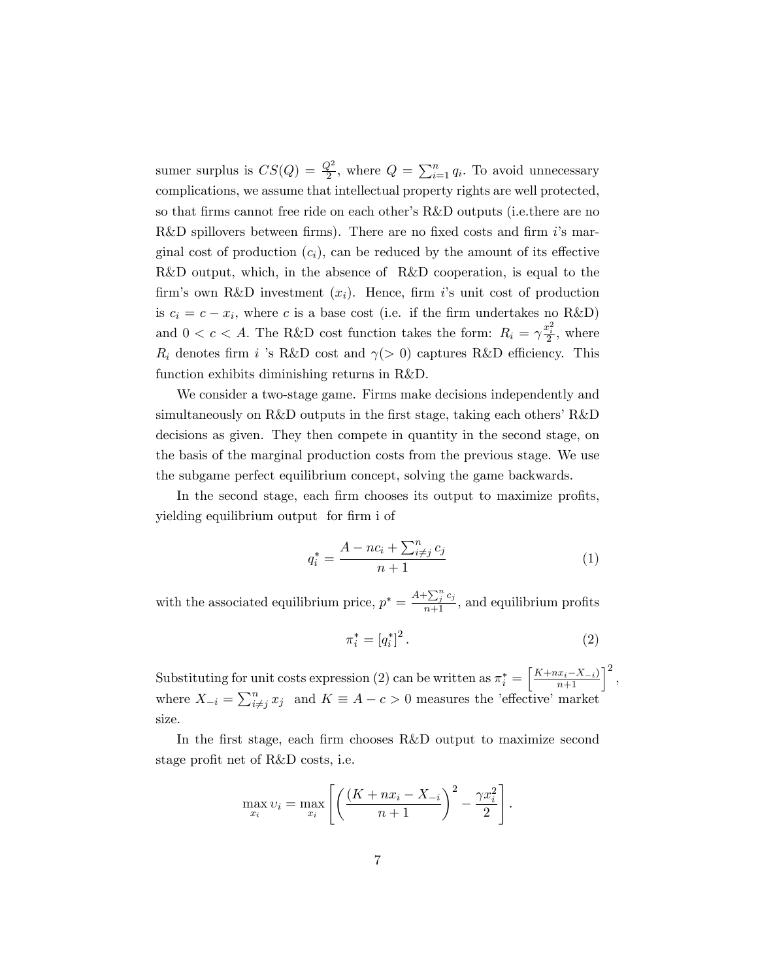sumer surplus is  $CS(Q) = \frac{Q^2}{2}$ , where  $Q = \sum_{i=1}^{n} q_i$ . To avoid unnecessary complications, we assume that intellectual property rights are well protected, so that firms cannot free ride on each other's R&D outputs (i.e.there are no R&D spillovers between firms). There are no fixed costs and firm  $i$ 's marginal cost of production  $(c_i)$ , can be reduced by the amount of its effective R&D output, which, in the absence of R&D cooperation, is equal to the firm's own R&D investment  $(x_i)$ . Hence, firm is unit cost of production is  $c_i = c - x_i$ , where c is a base cost (i.e. if the firm undertakes no R&D) and  $0 < c < A$ . The R&D cost function takes the form:  $R_i = \gamma \frac{x_i^2}{2}$ , where  $R_i$  denotes firm i 's R&D cost and  $\gamma$ (> 0) captures R&D efficiency. This function exhibits diminishing returns in R&D.

We consider a two-stage game. Firms make decisions independently and simultaneously on  $R&D$  outputs in the first stage, taking each others'  $R&D$ decisions as given. They then compete in quantity in the second stage, on the basis of the marginal production costs from the previous stage. We use the subgame perfect equilibrium concept, solving the game backwards.

In the second stage, each firm chooses its output to maximize profits, yielding equilibrium output for firm i of

$$
q_i^* = \frac{A - nc_i + \sum_{i \neq j}^n c_j}{n+1} \tag{1}
$$

with the associated equilibrium price,  $p^* = \frac{A + \sum_{j=1}^{n} c_j}{n+1}$ , and equilibrium profits

$$
\pi_i^* = [q_i^*]^2.
$$
 (2)

Substituting for unit costs expression (2) can be written as  $\pi_i^* = \left[\frac{K + nx_i - X_{-i}}{n+1}\right]^2$ , where  $X_{-i} = \sum_{i \neq j}^{n} x_j$  and  $K \equiv A - c > 0$  measures the 'effective' market size.

In the first stage, each firm chooses R&D output to maximize second stage profit net of R&D costs, i.e.

$$
\max_{x_i} v_i = \max_{x_i} \left[ \left( \frac{(K + nx_i - X_{-i})}{n+1} \right)^2 - \frac{\gamma x_i^2}{2} \right].
$$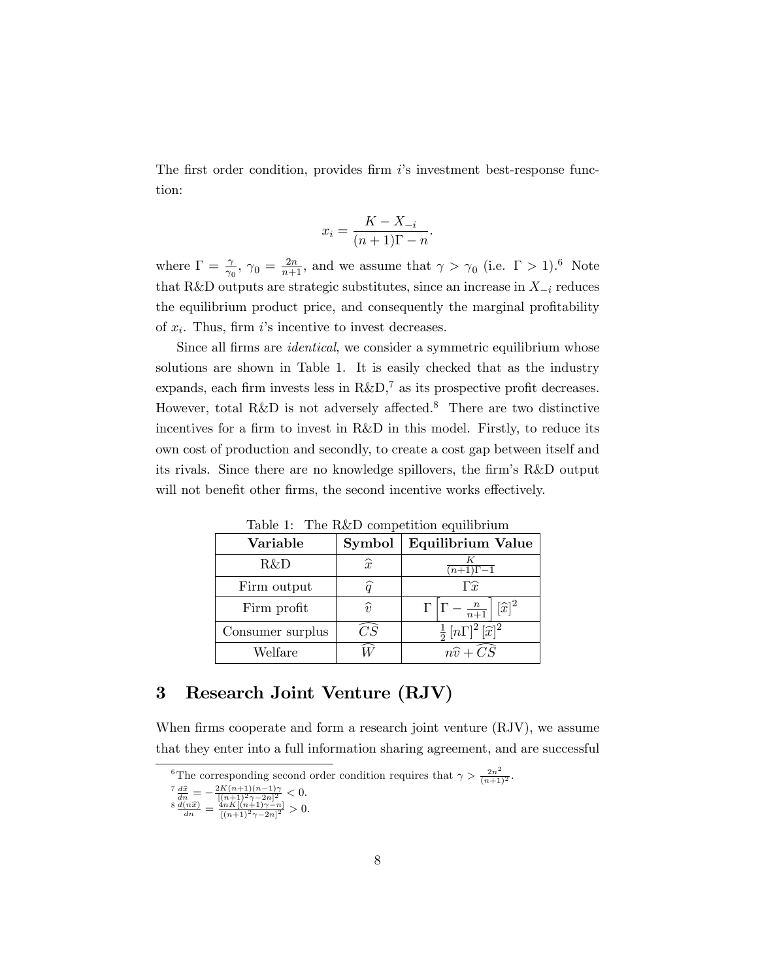The first order condition, provides firm  $i$ 's investment best-response function:

$$
x_i = \frac{K - X_{-i}}{(n+1)\Gamma - n}.
$$

where  $\Gamma = \frac{\gamma}{\gamma_0}$ ,  $\gamma_0 = \frac{2n}{n+1}$ , and we assume that  $\gamma > \gamma_0$  (i.e.  $\Gamma > 1$ ).<sup>6</sup> Note that R&D outputs are strategic substitutes, since an increase in  $X_{-i}$  reduces the equilibrium product price, and consequently the marginal profitability of  $x_i$ . Thus, firm i's incentive to invest decreases.

Since all firms are *identical*, we consider a symmetric equilibrium whose solutions are shown in Table 1. It is easily checked that as the industry expands, each firm invests less in  $R\&D$ ,<sup>7</sup> as its prospective profit decreases. However, total R&D is not adversely affected.<sup>8</sup> There are two distinctive incentives for a firm to invest in  $R&D$  in this model. Firstly, to reduce its own cost of production and secondly, to create a cost gap between itself and its rivals. Since there are no knowledge spillovers, the firm's R&D output will not benefit other firms, the second incentive works effectively.

| Variable         | Symbol            | Equilibrium Value                                        |  |  |
|------------------|-------------------|----------------------------------------------------------|--|--|
| R&D              | $\widehat{x}$     | $\overline{(n+1)\Gamma-1}$                               |  |  |
| Firm output      |                   | $\Gamma \hat{r}$                                         |  |  |
| Firm profit      | $\widehat{\eta}$  | $\Gamma\left \Gamma-\frac{n}{n+1}\right [\widehat{x}]^2$ |  |  |
| Consumer surplus | $\gamma\bar{S}^-$ | $\frac{1}{2}$ $[n\Gamma]^2$ $[\widehat{x}]^2$            |  |  |
| Welfare          |                   | $\overline{n\widehat{v} + CS}$                           |  |  |

Table 1: The R&D competition equilibrium

# 3 Research Joint Venture (RJV)

When firms cooperate and form a research joint venture (RJV), we assume that they enter into a full information sharing agreement, and are successful

$$
\frac{7}{4n} \frac{d\hat{x}}{dx} = -\frac{2K(n+1)(n-1)\gamma}{[(n+1)^2 \gamma - 2n]^2} < 0.
$$

$$
\frac{\overline{dn}}{d_n} = \frac{\overline{[(n+1)^2 \gamma - 2n]^2}}{\frac{4nK[(n+1)\gamma - n]}{[(n+1)^2 \gamma - 2n]^2}} > 0.
$$

$$
\frac{a(nx)}{dn} = \frac{4nR[(n+1)\gamma - n]}{[(n+1)^2\gamma - 2n]^2} > 0
$$

<sup>&</sup>lt;sup>6</sup>The corresponding second order condition requires that  $\gamma > \frac{2n^2}{(n+1)^2}$ .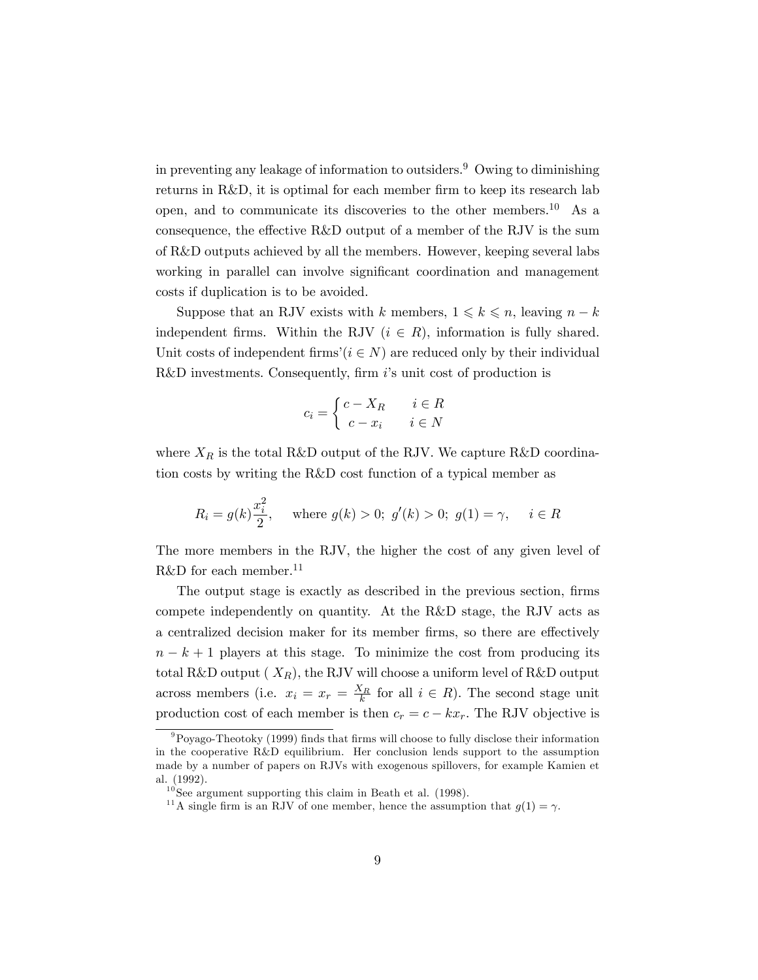in preventing any leakage of information to outsiders.<sup>9</sup> Owing to diminishing returns in R&D, it is optimal for each member firm to keep its research lab open, and to communicate its discoveries to the other members.<sup>10</sup> As a consequence, the effective  $R&D$  output of a member of the RJV is the sum of R&D outputs achieved by all the members. However, keeping several labs working in parallel can involve significant coordination and management costs if duplication is to be avoided.

Suppose that an RJV exists with k members,  $1 \leq k \leq n$ , leaving  $n - k$ independent firms. Within the RJV  $(i \in R)$ , information is fully shared. Unit costs of independent firms'( $i \in N$ ) are reduced only by their individual R&D investments. Consequently, firm  $i$ 's unit cost of production is

$$
c_i = \begin{cases} c - X_R & i \in R \\ c - x_i & i \in N \end{cases}
$$

where  $X_R$  is the total R&D output of the RJV. We capture R&D coordination costs by writing the R&D cost function of a typical member as

$$
R_i = g(k)\frac{x_i^2}{2}
$$
, where  $g(k) > 0$ ;  $g'(k) > 0$ ;  $g(1) = \gamma$ ,  $i \in R$ 

The more members in the RJV, the higher the cost of any given level of R&D for each member.<sup>11</sup>

The output stage is exactly as described in the previous section, firms compete independently on quantity. At the R&D stage, the RJV acts as a centralized decision maker for its member firms, so there are effectively  $n - k + 1$  players at this stage. To minimize the cost from producing its total R&D output  $(X_R)$ , the RJV will choose a uniform level of R&D output across members (i.e.  $x_i = x_r = \frac{X_R}{k}$  for all  $i \in R$ ). The second stage unit production cost of each member is then  $c_r = c - kx_r$ . The RJV objective is

 $9P_{\text{OVago-Theotoky}}$  (1999) finds that firms will choose to fully disclose their information in the cooperative R&D equilibrium. Her conclusion lends support to the assumption made by a number of papers on RJVs with exogenous spillovers, for example Kamien et al. (1992).

 $10$  See argument supporting this claim in Beath et al. (1998).

<sup>&</sup>lt;sup>11</sup>A single firm is an RJV of one member, hence the assumption that  $g(1) = \gamma$ .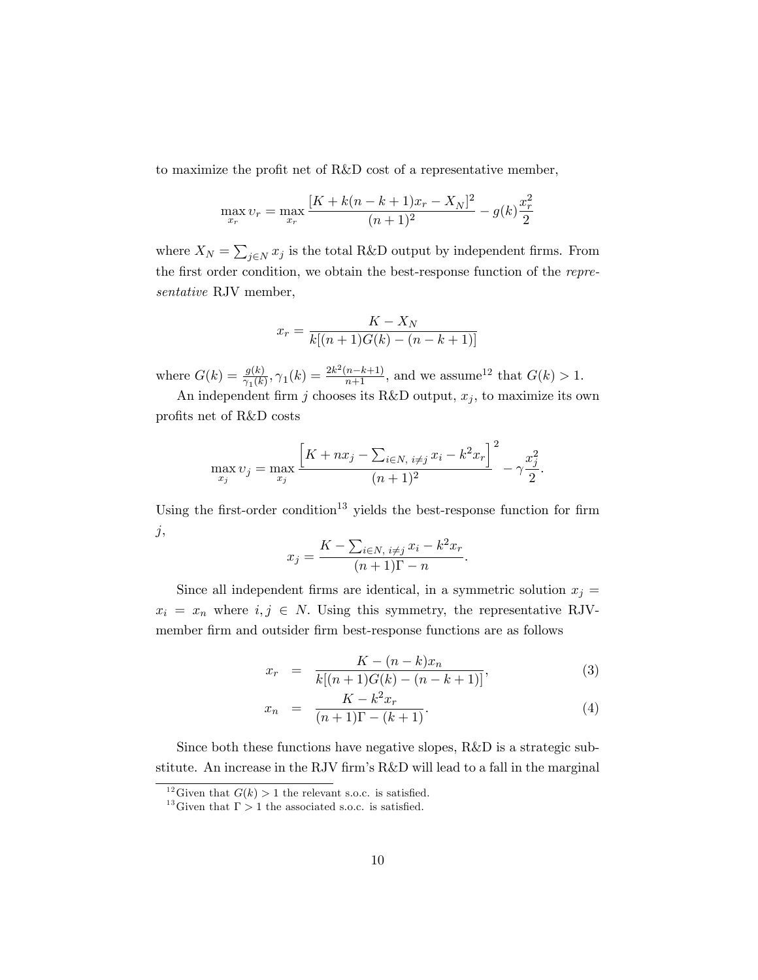to maximize the profit net of  $R&D$  cost of a representative member,

$$
\max_{x_r} v_r = \max_{x_r} \frac{[K + k(n - k + 1)x_r - X_N]^2}{(n + 1)^2} - g(k)\frac{x_r^2}{2}
$$

where  $X_N = \sum_{j \in N} x_j$  is the total R&D output by independent firms. From the first order condition, we obtain the best-response function of the representative RJV member,

$$
x_r = \frac{K - X_N}{k[(n+1)G(k) - (n - k + 1)]}
$$

where  $G(k) = \frac{g(k)}{\gamma_1(k)}, \gamma_1(k) = \frac{2k^2(n-k+1)}{n+1}$ , and we assume<sup>12</sup> that  $G(k) > 1$ .

An independent firm j chooses its R&D output,  $x_j$ , to maximize its own profits net of R&D costs

$$
\max_{x_j} v_j = \max_{x_j} \frac{\left[K + nx_j - \sum_{i \in N, i \neq j} x_i - k^2 x_r\right]^2}{(n+1)^2} - \gamma \frac{x_j^2}{2}.
$$

Using the first-order condition<sup>13</sup> yields the best-response function for firm  $j,$ 

$$
x_j = \frac{K - \sum_{i \in N, i \neq j} x_i - k^2 x_r}{(n+1)\Gamma - n}.
$$

Since all independent firms are identical, in a symmetric solution  $x_j =$  $x_i = x_n$  where  $i, j \in N$ . Using this symmetry, the representative RJVmember Örm and outsider Örm best-response functions are as follows

$$
x_r = \frac{K - (n - k)x_n}{k[(n + 1)G(k) - (n - k + 1)]},
$$
\n(3)

$$
x_n = \frac{K - k^2 x_r}{(n+1)\Gamma - (k+1)}.
$$
 (4)

Since both these functions have negative slopes, R&D is a strategic substitute. An increase in the RJV firm's  $R&D$  will lead to a fall in the marginal

<sup>&</sup>lt;sup>12</sup>Given that  $G(k) > 1$  the relevant s.o.c. is satisfied.

<sup>&</sup>lt;sup>13</sup>Given that  $\Gamma > 1$  the associated s.o.c. is satisfied.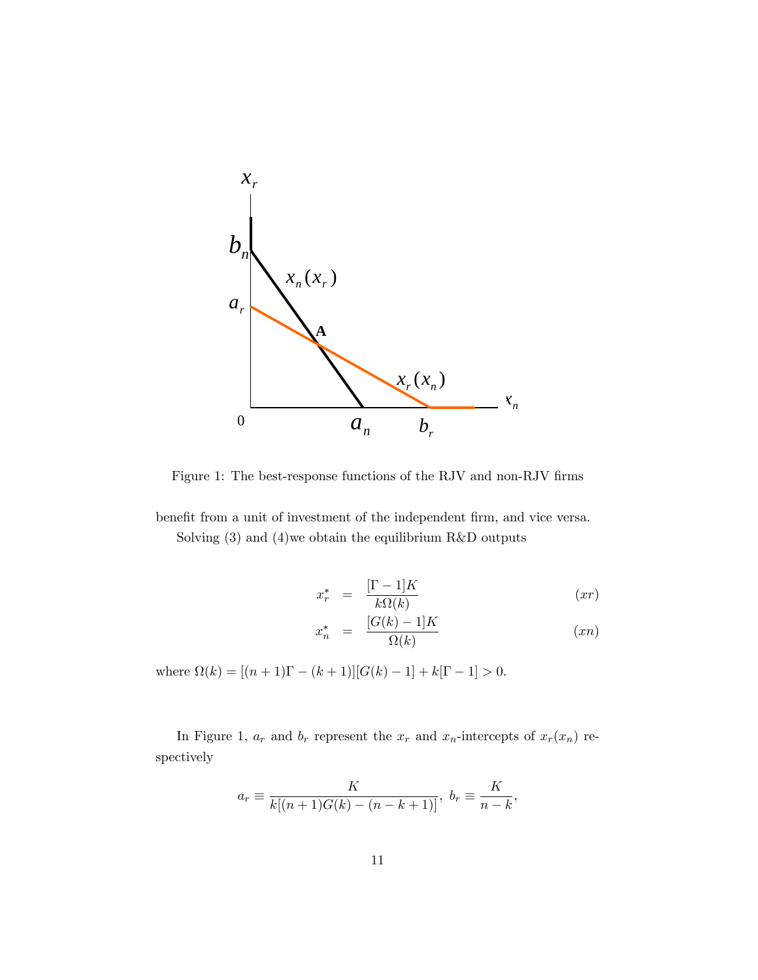

Figure 1: The best-response functions of the RJV and non-RJV firms

benefit from a unit of investment of the independent firm, and vice versa. Solving (3) and (4)we obtain the equilibrium R&D outputs

$$
x_r^* = \frac{[\Gamma - 1]K}{k\Omega(k)} \tag{xr}
$$

$$
x_n^* = \frac{[G(k) - 1]K}{\Omega(k)} \tag{xn}
$$

where  $\Omega(k) = [(n + 1)\Gamma - (k + 1)][G(k) - 1] + k[\Gamma - 1] > 0.$ 

In Figure 1,  $a_r$  and  $b_r$  represent the  $x_r$  and  $x_n$ -intercepts of  $x_r(x_n)$  respectively

$$
a_r \equiv \frac{K}{k[(n+1)G(k) - (n-k+1)]}
$$
,  $b_r \equiv \frac{K}{n-k}$ ,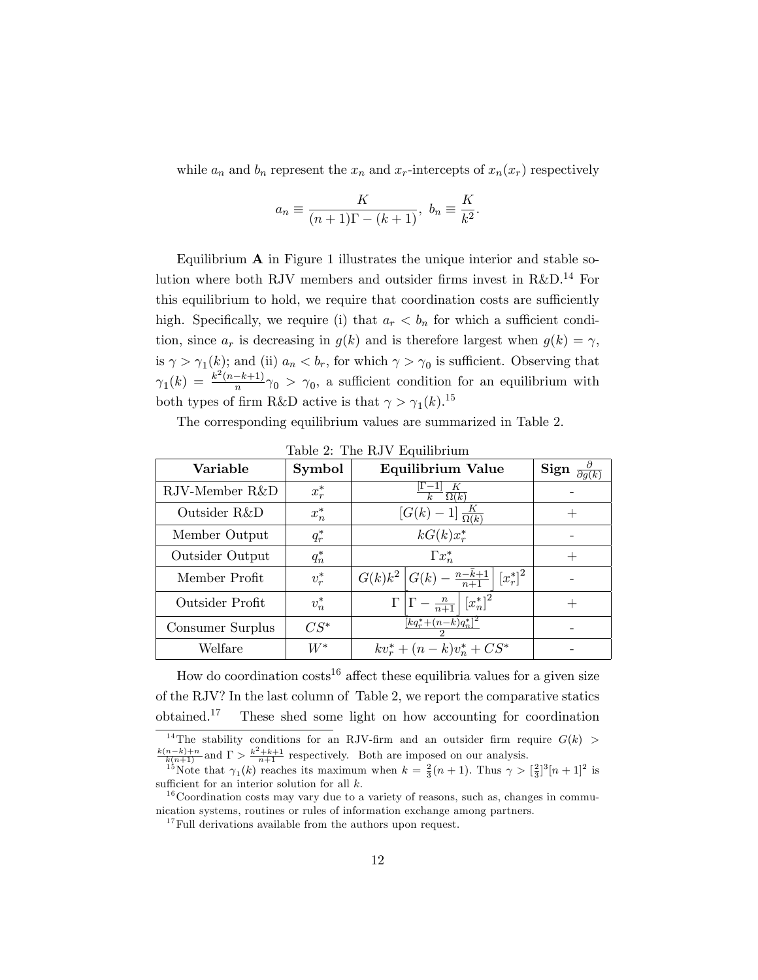while  $a_n$  and  $b_n$  represent the  $x_n$  and  $x_r$ -intercepts of  $x_n(x_r)$  respectively

$$
a_n \equiv \frac{K}{(n+1)\Gamma - (k+1)}, \ b_n \equiv \frac{K}{k^2}.
$$

Equilibrium  $A$  in Figure 1 illustrates the unique interior and stable solution where both RJV members and outsider firms invest in R&D.<sup>14</sup> For this equilibrium to hold, we require that coordination costs are sufficiently high. Specifically, we require (i) that  $a_r < b_n$  for which a sufficient condition, since  $a_r$  is decreasing in  $g(k)$  and is therefore largest when  $g(k) = \gamma$ , is  $\gamma > \gamma_1(k)$ ; and (ii)  $a_n < b_r$ , for which  $\gamma > \gamma_0$  is sufficient. Observing that  $\gamma_1(k) = \frac{k^2(n-k+1)}{n} \gamma_0 > \gamma_0$ , a sufficient condition for an equilibrium with both types of firm R&D active is that  $\gamma > \gamma_1(k)$ .<sup>15</sup>

The corresponding equilibrium values are summarized in Table 2.

| Variable         | Symbol  | Equilibrium Value                                                         | $\frac{\partial}{\partial q(k)}$<br>Sign |
|------------------|---------|---------------------------------------------------------------------------|------------------------------------------|
| RJV-Member R&D   | $x_r^*$ | K<br>$\overline{\Omega(k)}$                                               |                                          |
| Outsider R&D     | $x_n^*$ | $[G(k)-1]\frac{K}{\Omega(k)}$                                             |                                          |
| Member Output    | $q_r^*$ | $kG(k)x_r^*$                                                              |                                          |
| Outsider Output  | $q_n^*$ | $\Gamma x_n^*$                                                            |                                          |
| Member Profit    | $v_r^*$ | $G(k)k^2   G(k) - \frac{n-k+1}{n+1}  $<br>$[x_r^*]^2$                     |                                          |
| Outsider Profit  | $v_n^*$ | $\Gamma\left \Gamma-\frac{n}{n+1}\right \left[x_n^*\right]^2$             |                                          |
| Consumer Surplus | $CS^*$  | $\frac{[kq_{r}^{*}+(n-k)q_{n}^{*}]^{2}}{[kq_{r}^{*}+(n-k)q_{n}^{*}]^{2}}$ |                                          |
| Welfare          | $W^*$   | $kv_r^* + (n-k)v_n^* + CS^*$                                              |                                          |

Table 2: The RJV Equilibrium

How do coordination costs<sup>16</sup> affect these equilibria values for a given size of the RJV? In the last column of Table 2, we report the comparative statics obtained.<sup>17</sup> These shed some light on how accounting for coordination

<sup>14</sup>The stability conditions for an RJV-firm and an outsider firm require  $G(k)$  $\frac{k(n-k)+n}{k(n+1)}$  and  $\Gamma > \frac{k^2+k+1}{n+1}$  respectively. Both are imposed on our analysis.

<sup>&</sup>lt;sup>15</sup>Note that  $\gamma_1(k)$  reaches its maximum when  $k = \frac{2}{3}(n+1)$ . Thus  $\gamma > [\frac{2}{3}]^3[n+1]^2$  is sufficient for an interior solution for all  $k$ .

 $16$ Coordination costs may vary due to a variety of reasons, such as, changes in communication systems, routines or rules of information exchange among partners.

 $17$  Full derivations available from the authors upon request.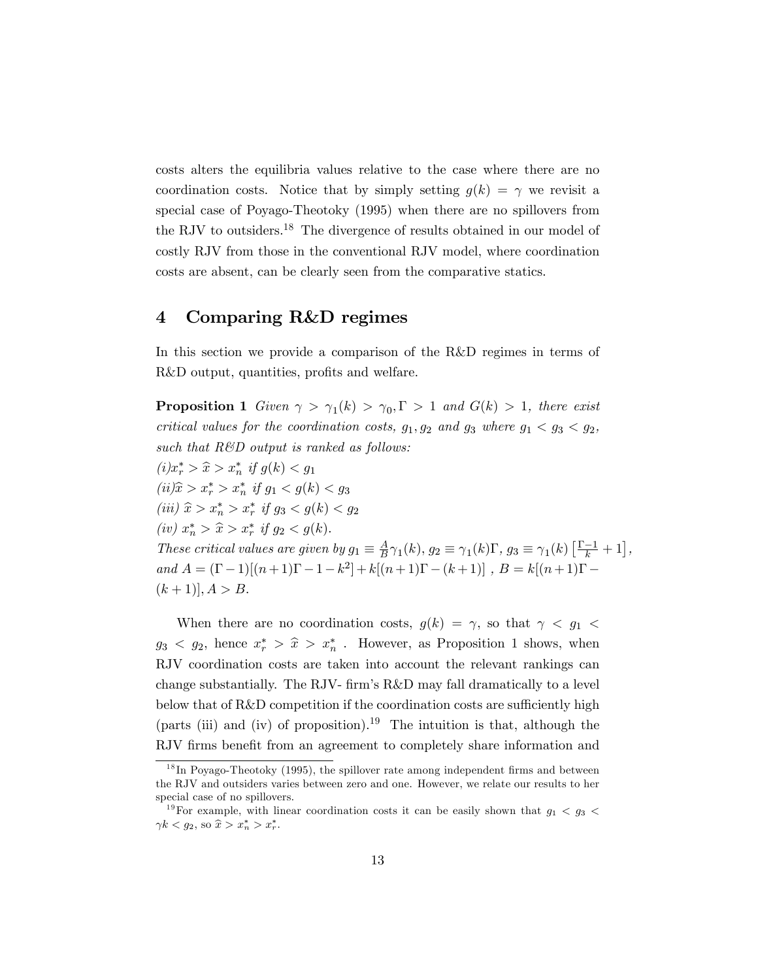costs alters the equilibria values relative to the case where there are no coordination costs. Notice that by simply setting  $g(k) = \gamma$  we revisit a special case of Poyago-Theotoky (1995) when there are no spillovers from the RJV to outsiders.<sup>18</sup> The divergence of results obtained in our model of costly RJV from those in the conventional RJV model, where coordination costs are absent, can be clearly seen from the comparative statics.

#### 4 Comparing R&D regimes

In this section we provide a comparison of the R&D regimes in terms of R&D output, quantities, profits and welfare.

**Proposition 1** Given  $\gamma > \gamma_1(k) > \gamma_0, \Gamma > 1$  and  $G(k) > 1$ , there exist critical values for the coordination costs,  $g_1, g_2$  and  $g_3$  where  $g_1 < g_3 < g_2$ , such that  $R\&D$  output is ranked as follows:

 $(i)x_r^* > \hat{x} > x_n^*$  if  $g(k) < g_1$  $(ii) \hat{x} > x_r^* > x_n^*$  if  $g_1 < g(k) < g_3$ (iii)  $\hat{x} > x_n^* > x_r^*$  if  $g_3 < g(k) < g_2$ (iv)  $x_n^* > \hat{x} > x_r^*$  if  $g_2 < g(k)$ . These critical values are given by  $g_1 \equiv \frac{A}{B}$  $\frac{A}{B}\gamma_1(k), g_2 \equiv \gamma_1(k)\Gamma, g_3 \equiv \gamma_1(k)\left[\frac{\Gamma-1}{k} + 1\right],$ and  $A = (\Gamma - 1)[(n+1)\Gamma - 1 - k^2] + k[(n+1)\Gamma - (k+1)]$ ,  $B = k[(n+1)\Gamma (k+1)$ ,  $A > B$ .

When there are no coordination costs,  $g(k) = \gamma$ , so that  $\gamma < g_1$  $g_3 < g_2$ , hence  $x_r^* > \hat{x} > x_n^*$ . However, as Proposition 1 shows, when RJV coordination costs are taken into account the relevant rankings can change substantially. The RJV- firm's  $R\&D$  may fall dramatically to a level below that of  $R\&D$  competition if the coordination costs are sufficiently high (parts (iii) and (iv) of proposition).<sup>19</sup> The intuition is that, although the RJV firms benefit from an agreement to completely share information and

 $1<sup>8</sup>$  In Poyago-Theotoky (1995), the spillover rate among independent firms and between the RJV and outsiders varies between zero and one. However, we relate our results to her special case of no spillovers.

<sup>&</sup>lt;sup>19</sup>For example, with linear coordination costs it can be easily shown that  $g_1 < g_3 <$  $\gamma k < g_2$ , so  $\hat{x} > x_n^* > x_r^*$ .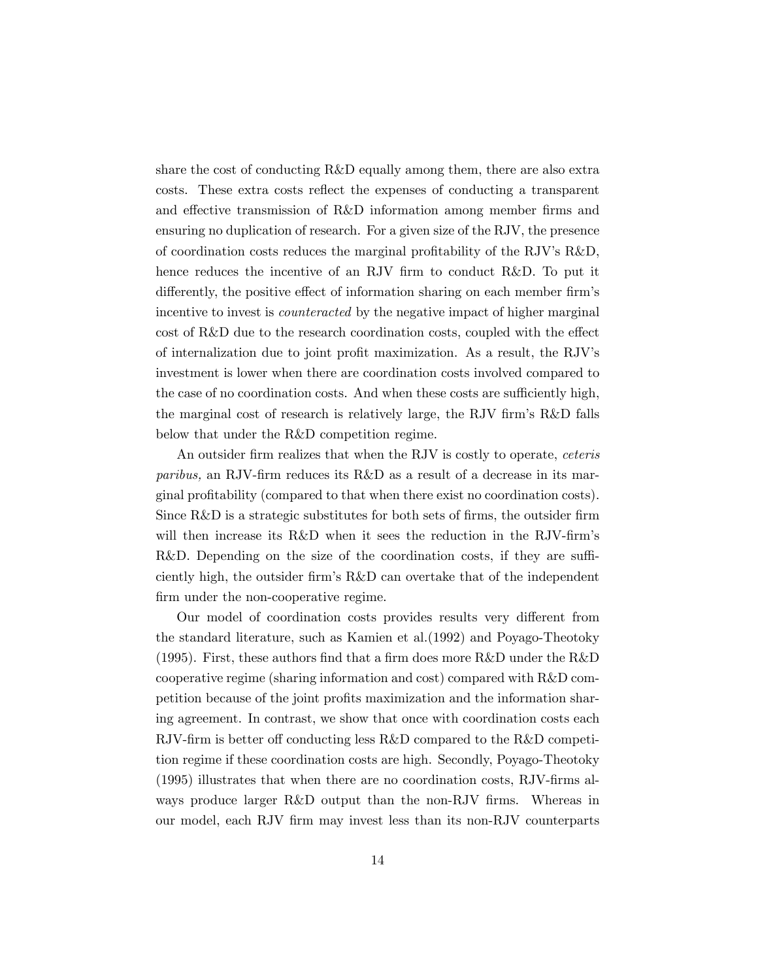share the cost of conducting R&D equally among them, there are also extra costs. These extra costs reflect the expenses of conducting a transparent and effective transmission of R&D information among member firms and ensuring no duplication of research. For a given size of the RJV, the presence of coordination costs reduces the marginal profitability of the RJV's R&D, hence reduces the incentive of an RJV firm to conduct R&D. To put it differently, the positive effect of information sharing on each member firm's incentive to invest is *counteracted* by the negative impact of higher marginal cost of  $R\&D$  due to the research coordination costs, coupled with the effect of internalization due to joint profit maximization. As a result, the RJV's investment is lower when there are coordination costs involved compared to the case of no coordination costs. And when these costs are sufficiently high, the marginal cost of research is relatively large, the RJV firm's R&D falls below that under the R&D competition regime.

An outsider firm realizes that when the RJV is costly to operate, *ceteris* paribus, an RJV-firm reduces its  $R\&D$  as a result of a decrease in its marginal profitability (compared to that when there exist no coordination costs). Since  $R&D$  is a strategic substitutes for both sets of firms, the outsider firm will then increase its R&D when it sees the reduction in the RJV-firm's R&D. Depending on the size of the coordination costs, if they are sufficiently high, the outsider firm's R&D can overtake that of the independent firm under the non-cooperative regime.

Our model of coordination costs provides results very different from the standard literature, such as Kamien et al.(1992) and Poyago-Theotoky (1995). First, these authors find that a firm does more  $R\&D$  under the  $R\&D$ cooperative regime (sharing information and cost) compared with R&D competition because of the joint profits maximization and the information sharing agreement. In contrast, we show that once with coordination costs each RJV-firm is better off conducting less  $R&D$  compared to the  $R&D$  competition regime if these coordination costs are high. Secondly, Poyago-Theotoky  $(1995)$  illustrates that when there are no coordination costs, RJV-firms always produce larger R&D output than the non-RJV firms. Whereas in our model, each RJV Örm may invest less than its non-RJV counterparts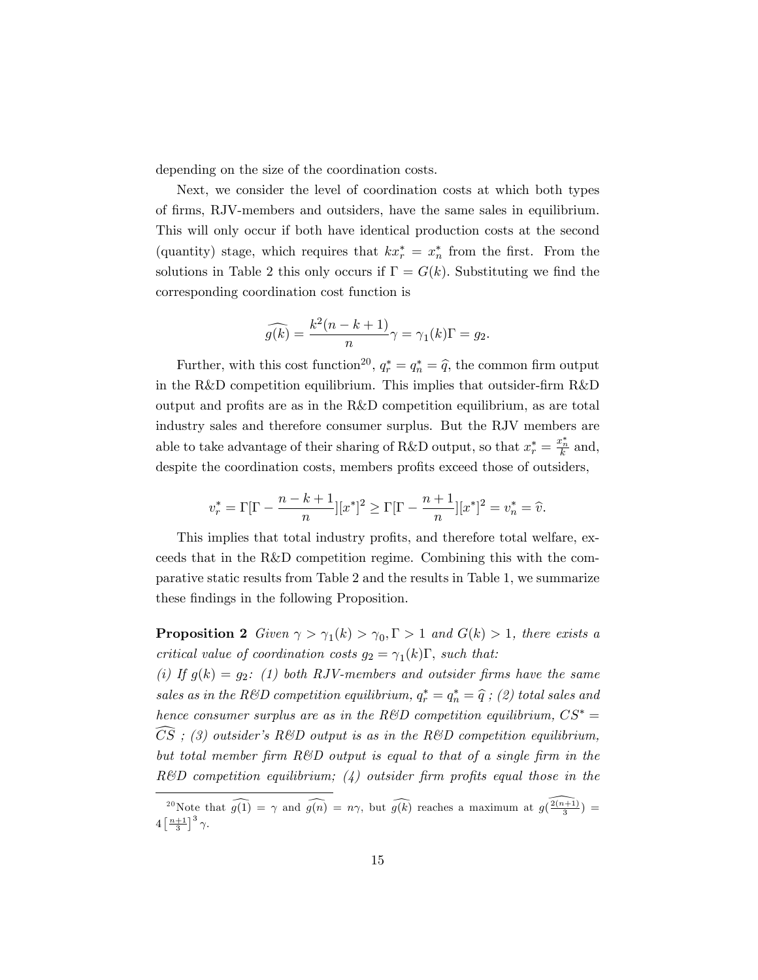depending on the size of the coordination costs.

Next, we consider the level of coordination costs at which both types of firms, RJV-members and outsiders, have the same sales in equilibrium. This will only occur if both have identical production costs at the second (quantity) stage, which requires that  $kx_r^* = x_n^*$  from the first. From the solutions in Table 2 this only occurs if  $\Gamma = G(k)$ . Substituting we find the corresponding coordination cost function is

$$
\widehat{g(k)} = \frac{k^2(n-k+1)}{n}\gamma = \gamma_1(k)\Gamma = g_2.
$$

Further, with this cost function<sup>20</sup>,  $q_r^* = q_n^* = \hat{q}$ , the common firm output in the R&D competition equilibrium. This implies that outsider-firm R&D output and profits are as in the R&D competition equilibrium, as are total industry sales and therefore consumer surplus. But the RJV members are able to take advantage of their sharing of R&D output, so that  $x_r^* = \frac{x_n^*}{k}$  and, despite the coordination costs, members profits exceed those of outsiders,

$$
v_r^* = \Gamma[\Gamma - \frac{n-k+1}{n}][x^*]^2 \ge \Gamma[\Gamma - \frac{n+1}{n}][x^*]^2 = v_n^* = \hat{v}.
$$

This implies that total industry profits, and therefore total welfare, exceeds that in the R&D competition regime. Combining this with the comparative static results from Table 2 and the results in Table 1, we summarize these findings in the following Proposition.

**Proposition 2** Given  $\gamma > \gamma_1(k) > \gamma_0, \Gamma > 1$  and  $G(k) > 1$ , there exists a critical value of coordination costs  $g_2 = \gamma_1(k)\Gamma$ , such that:

(i) If  $g(k) = g_2$ : (1) both RJV-members and outsider firms have the same sales as in the R&D competition equilibrium,  $q_r^* = q_n^* = \widehat{q}$  ; (2) total sales and hence consumer surplus are as in the R&D competition equilibrium,  $CS^* =$  $\widehat{CS}$ ; (3) outsider's R&D output is as in the R&D competition equilibrium, but total member firm  $R\&D$  output is equal to that of a single firm in the  $R\&D$  competition equilibrium; (4) outsider firm profits equal those in the

<sup>&</sup>lt;sup>20</sup> Note that  $\widehat{g(1)} = \gamma$  and  $\widehat{g(n)} = n\gamma$ , but  $\widehat{g(k)}$  reaches a maximum at  $g(\frac{2(n+1)}{3}) =$  $4\left[\frac{n+1}{3}\right]^3 \gamma.$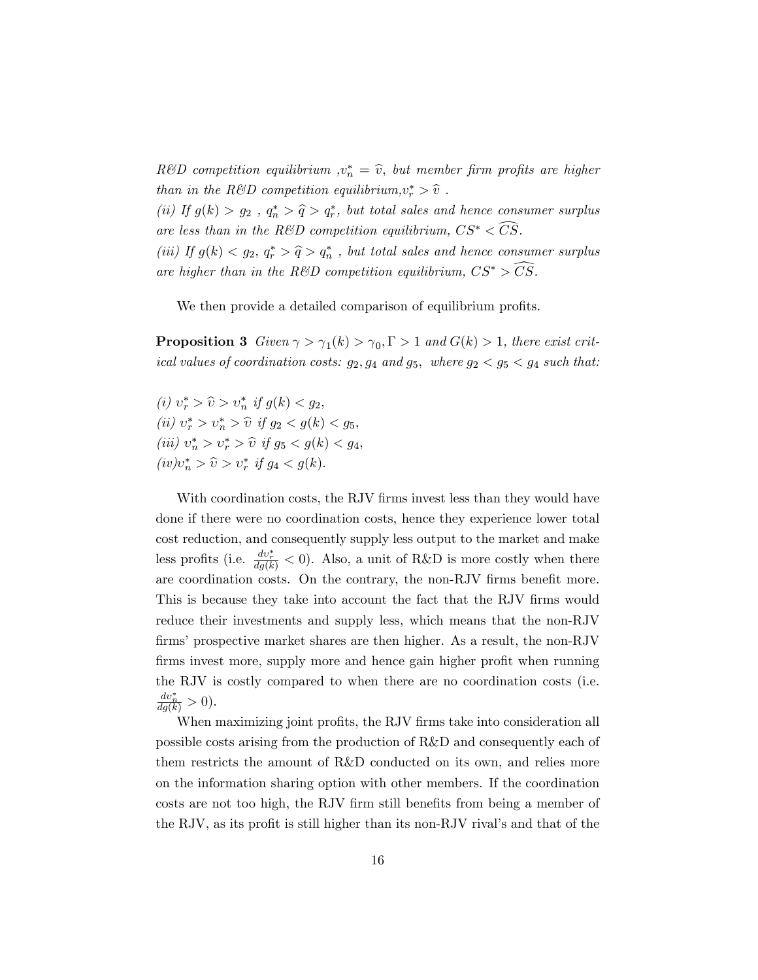$R\&D$  competition equilibrium  $,v_n^* = \hat{v}$ , but member firm profits are higher than in the R&D competition equilibrium,  $v_r^* > \hat{v}$ .

(ii) If  $g(k) > g_2$ ,  $q_n^* > \hat{q} > q_r^*$ , but total sales and hence consumer surplus are less than in the R&D competition equilibrium,  $CS^* < \overline{CS}$ .

(iii) If  $g(k) < g_2, q_r^* > \hat{q} > q_n^*$ , but total sales and hence consumer surplus are higher than in the R&D competition equilibrium,  $CS^* > \widehat{CS}$ .

We then provide a detailed comparison of equilibrium profits.

**Proposition 3** Given  $\gamma > \gamma_1(k) > \gamma_0, \Gamma > 1$  and  $G(k) > 1$ , there exist critical values of coordination costs:  $g_2$ ,  $g_4$  and  $g_5$ , where  $g_2 < g_5 < g_4$  such that:

(i)  $v_r^* > \hat{v} > v_n^*$  if  $g(k) < g_2$ , (*ii*)  $v_r^* > v_n^* > \hat{v}$  if  $g_2 < g(k) < g_5$ , (iii)  $v_n^* > v_r^* > \hat{v}$  if  $g_5 < g(k) < g_4$ ,  $(iv)v_n^* > \hat{v} > v_r^*$  if  $g_4 < g(k)$ .

With coordination costs, the RJV firms invest less than they would have done if there were no coordination costs, hence they experience lower total cost reduction, and consequently supply less output to the market and make less profits (i.e.  $\frac{dv_r^*}{dg(k)} < 0$ ). Also, a unit of R&D is more costly when there are coordination costs. On the contrary, the non-RJV firms benefit more. This is because they take into account the fact that the RJV firms would reduce their investments and supply less, which means that the non-RJV firms' prospective market shares are then higher. As a result, the non-RJV firms invest more, supply more and hence gain higher profit when running the RJV is costly compared to when there are no coordination costs (i.e.  $\frac{dv_n^*}{dg(k)} > 0.$ 

When maximizing joint profits, the RJV firms take into consideration all possible costs arising from the production of R&D and consequently each of them restricts the amount of R&D conducted on its own, and relies more on the information sharing option with other members. If the coordination costs are not too high, the RJV firm still benefits from being a member of the RJV, as its profit is still higher than its non-RJV rival's and that of the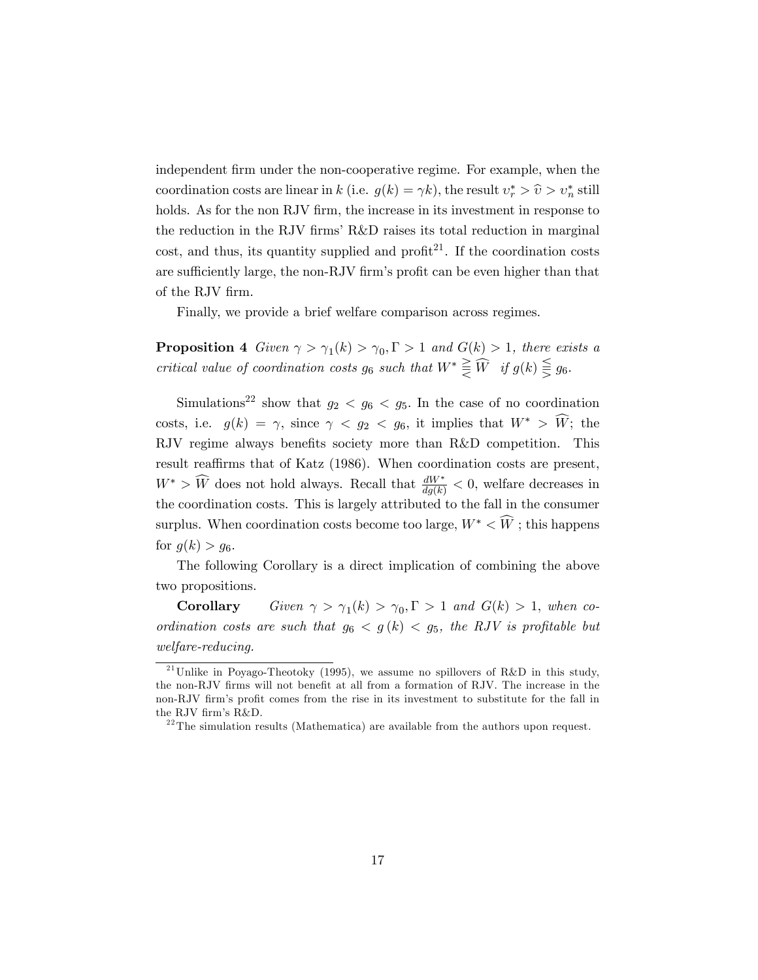independent firm under the non-cooperative regime. For example, when the coordination costs are linear in k (i.e.  $g(k) = \gamma k$ ), the result  $v_r^* > \hat{v} > v_n^*$  still holds. As for the non RJV firm, the increase in its investment in response to the reduction in the RJV firms' R&D raises its total reduction in marginal cost, and thus, its quantity supplied and profit<sup>21</sup>. If the coordination costs are sufficiently large, the non-RJV firm's profit can be even higher than that of the RJV firm.

Finally, we provide a brief welfare comparison across regimes.

**Proposition 4** Given  $\gamma > \gamma_1(k) > \gamma_0, \Gamma > 1$  and  $G(k) > 1$ , there exists a critical value of coordination costs  $g_6$  such that  $W^* \geqq \widehat{W}$  if  $g(k) \leqq g_6$ .

Simulations<sup>22</sup> show that  $g_2 < g_6 < g_5$ . In the case of no coordination costs, i.e.  $g(k) = \gamma$ , since  $\gamma < g_2 < g_6$ , it implies that  $W^* > \widehat{W}$ ; the RJV regime always benefits society more than R&D competition. This result reaffirms that of Katz (1986). When coordination costs are present,  $W^* > \widehat{W}$  does not hold always. Recall that  $\frac{dW^*}{dg(k)} < 0$ , welfare decreases in the coordination costs. This is largely attributed to the fall in the consumer surplus. When coordination costs become too large,  $W^* \n\leq \widehat{W}$ ; this happens for  $g(k) > g_6$ .

The following Corollary is a direct implication of combining the above two propositions.

**Corollary** Given  $\gamma > \gamma_1(k) > \gamma_0, \Gamma > 1$  and  $G(k) > 1$ , when coordination costs are such that  $g_6 < g(k) < g_5$ , the RJV is profitable but welfare-reducing.

<sup>&</sup>lt;sup>21</sup> Unlike in Poyago-Theotoky (1995), we assume no spillovers of R&D in this study, the non-RJV firms will not benefit at all from a formation of RJV. The increase in the non-RJV firm's profit comes from the rise in its investment to substitute for the fall in the RJV firm's R&D.

 $^{22}$ The simulation results (Mathematica) are available from the authors upon request.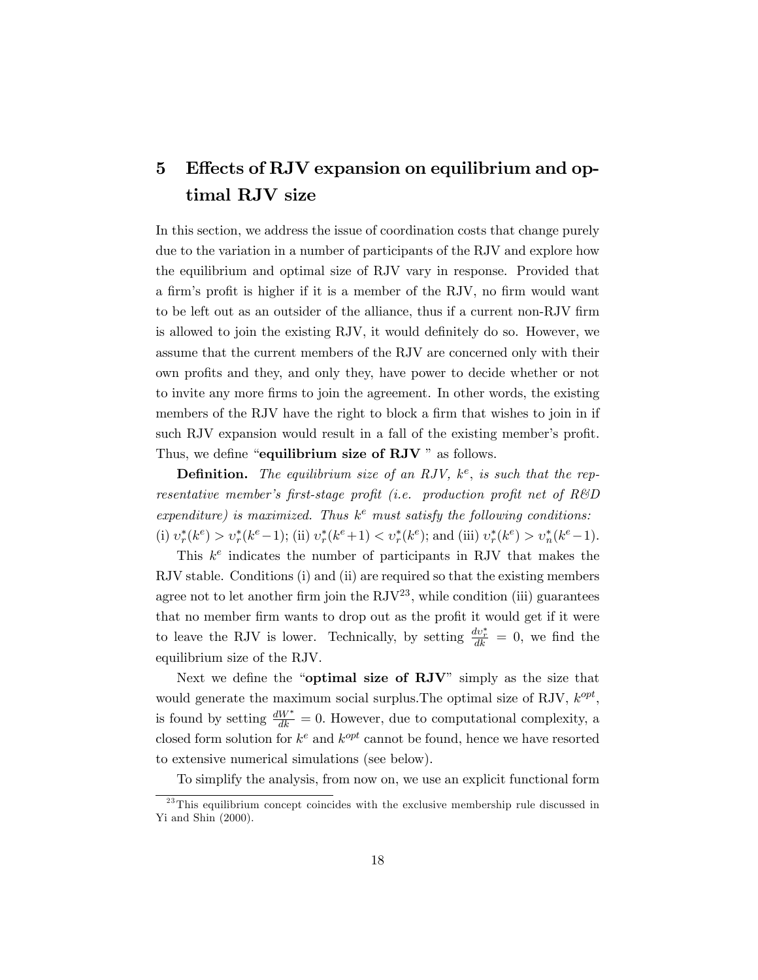# 5 Effects of RJV expansion on equilibrium and optimal RJV size

In this section, we address the issue of coordination costs that change purely due to the variation in a number of participants of the RJV and explore how the equilibrium and optimal size of RJV vary in response. Provided that a firm's profit is higher if it is a member of the RJV, no firm would want to be left out as an outsider of the alliance, thus if a current non-RJV firm is allowed to join the existing RJV, it would definitely do so. However, we assume that the current members of the RJV are concerned only with their own profits and they, and only they, have power to decide whether or not to invite any more Örms to join the agreement. In other words, the existing members of the RJV have the right to block a firm that wishes to join in if such RJV expansion would result in a fall of the existing member's profit. Thus, we define "equilibrium size of  $RJV$ " as follows.

**Definition.** The equilibrium size of an RJV,  $k^e$ , is such that the representative member's first-stage profit (i.e. production profit net of  $R\&D$ expenditure) is maximized. Thus  $k^e$  must satisfy the following conditions: (i)  $v_r^*(k^e) > v_r^*(k^e-1)$ ; (ii)  $v_r^*(k^e+1) < v_r^*(k^e)$ ; and (iii)  $v_r^*(k^e) > v_n^*(k^e-1)$ .

This  $k^e$  indicates the number of participants in RJV that makes the RJV stable. Conditions (i) and (ii) are required so that the existing members agree not to let another firm join the  $RJV^{23}$ , while condition (iii) guarantees that no member firm wants to drop out as the profit it would get if it were to leave the RJV is lower. Technically, by setting  $\frac{dv_r^*}{dk} = 0$ , we find the equilibrium size of the RJV.

Next we define the "optimal size of  $RJV$ " simply as the size that would generate the maximum social surplus. The optimal size of RJV,  $k^{opt}$ , is found by setting  $\frac{dW^*}{dk} = 0$ . However, due to computational complexity, a closed form solution for  $k^e$  and  $k^{opt}$  cannot be found, hence we have resorted to extensive numerical simulations (see below).

To simplify the analysis, from now on, we use an explicit functional form

 $\frac{23 \text{ This}}{23 \text{ This}}$  equilibrium concept coincides with the exclusive membership rule discussed in Yi and Shin (2000).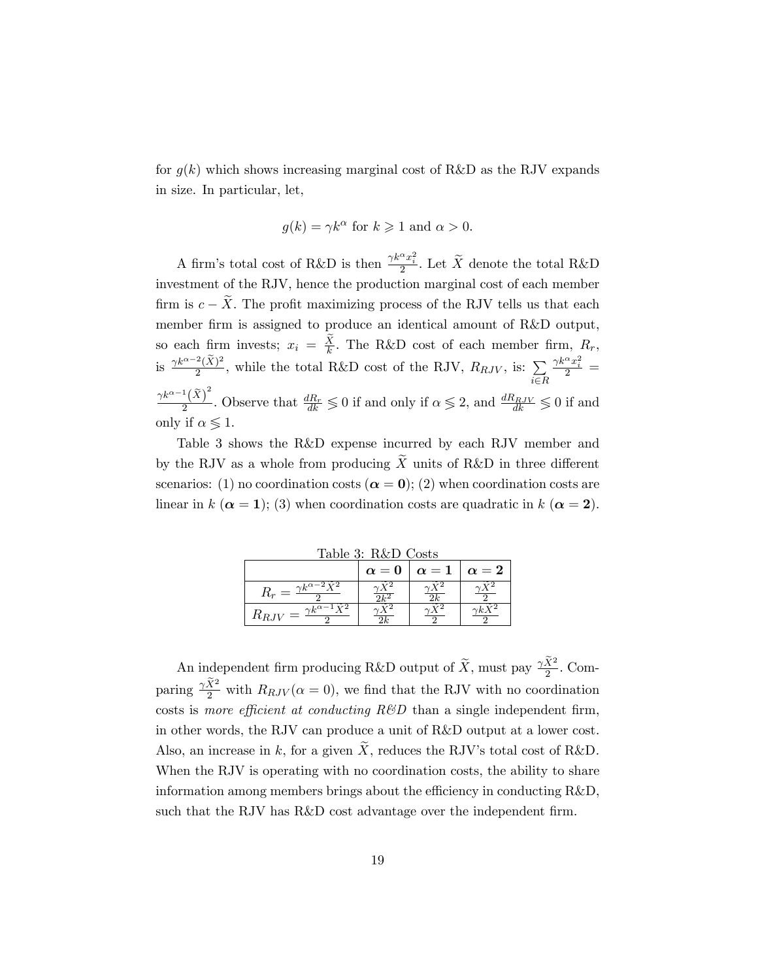for  $g(k)$  which shows increasing marginal cost of R&D as the RJV expands in size. In particular, let,

$$
g(k) = \gamma k^{\alpha}
$$
 for  $k \ge 1$  and  $\alpha > 0$ .

A firm's total cost of R&D is then  $\frac{\gamma k^{\alpha} x_i^2}{2}$ . Let  $\widetilde{X}$  denote the total R&D investment of the RJV, hence the production marginal cost of each member firm is  $c - X$ . The profit maximizing process of the RJV tells us that each member firm is assigned to produce an identical amount of R&D output, so each firm invests;  $x_i = \frac{X}{k}$ . The R&D cost of each member firm,  $R_r$ , is  $\frac{\gamma k^{\alpha-2}(\tilde{X})^2}{2}$  $\frac{2(\tilde{X})^2}{2}$ , while the total R&D cost of the RJV,  $R_{RJV}$ , is:  $\sum_{n=1}^{\infty} \frac{\gamma k^{\alpha} x_i^2}{2}$  $i \in R$  $\gamma k^{\alpha-1} \big( \widetilde{X} \big)^2$  $\frac{dR_r}{dt}$ . Observe that  $\frac{dR_r}{dk} \leq 0$  if and only if  $\alpha \leq 2$ , and  $\frac{dR_{RJV}}{dk} \leq 0$  if and only if  $\alpha \leqslant 1$ .

Table 3 shows the R&D expense incurred by each RJV member and by the RJV as a whole from producing  $\tilde{X}$  units of R&D in three different scenarios: (1) no coordination costs ( $\alpha = 0$ ); (2) when coordination costs are linear in k ( $\alpha = 1$ ); (3) when coordination costs are quadratic in k ( $\alpha = 2$ ).

| Table 3: R&D Costs                                                       |            |            |            |  |  |  |  |
|--------------------------------------------------------------------------|------------|------------|------------|--|--|--|--|
|                                                                          | $\alpha=0$ | $\alpha=1$ | $\alpha=2$ |  |  |  |  |
| $\gamma k^{\alpha - \overline{2\; \widetilde{\mathbf{Y}}^{\mathbf{2}}}}$ |            |            |            |  |  |  |  |
| $\gamma k^{\alpha - \overline{1}} \widetilde{Y}^2$                       |            |            |            |  |  |  |  |

An independent firm producing R&D output of  $\widetilde{X}$ , must pay  $\frac{\gamma \widetilde{X}^2}{2}$ . Comparing  $\frac{\gamma \tilde{X}^2}{2}$  with  $R_{RJV}(\alpha = 0)$ , we find that the RJV with no coordination costs is more efficient at conducting  $R\&D$  than a single independent firm, in other words, the RJV can produce a unit of R&D output at a lower cost. Also, an increase in k, for a given X, reduces the RJV's total cost of R&D. When the RJV is operating with no coordination costs, the ability to share information among members brings about the efficiency in conducting  $R&D$ , such that the RJV has  $R\&D$  cost advantage over the independent firm.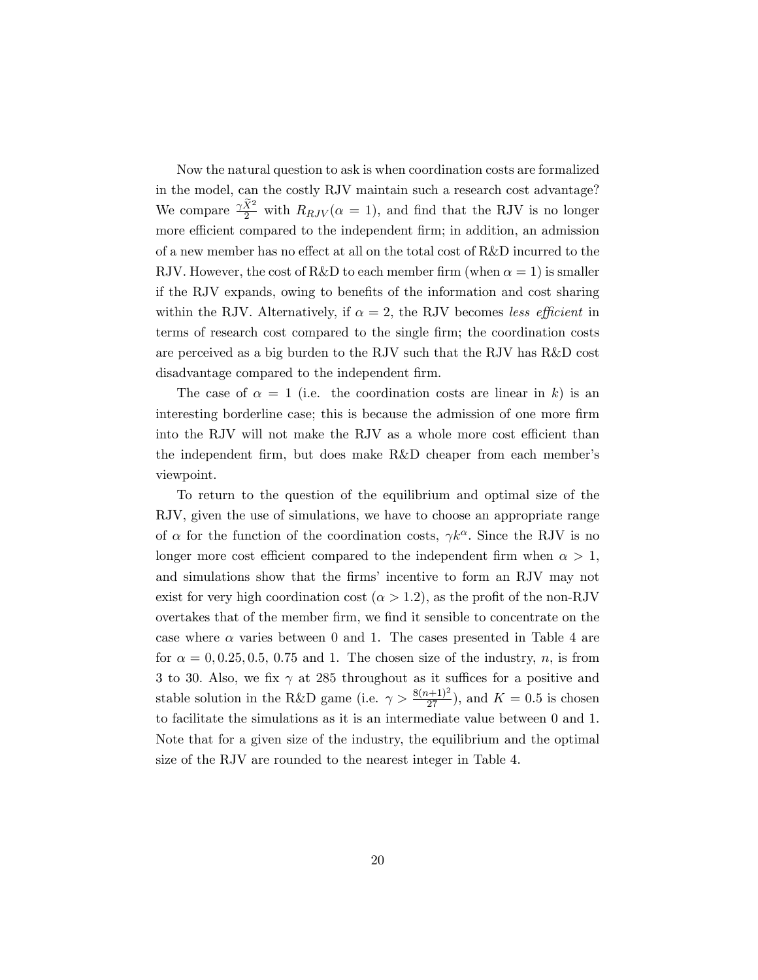Now the natural question to ask is when coordination costs are formalized in the model, can the costly RJV maintain such a research cost advantage? We compare  $\frac{\gamma \tilde{X}^2}{2}$  with  $R_{RJV}(\alpha = 1)$ , and find that the RJV is no longer more efficient compared to the independent firm; in addition, an admission of a new member has no effect at all on the total cost of  $R&D$  incurred to the RJV. However, the cost of R&D to each member firm (when  $\alpha = 1$ ) is smaller if the RJV expands, owing to benefits of the information and cost sharing within the RJV. Alternatively, if  $\alpha = 2$ , the RJV becomes less efficient in terms of research cost compared to the single firm; the coordination costs are perceived as a big burden to the RJV such that the RJV has R&D cost disadvantage compared to the independent firm.

The case of  $\alpha = 1$  (i.e. the coordination costs are linear in k) is an interesting borderline case; this is because the admission of one more firm into the RJV will not make the RJV as a whole more cost efficient than the independent firm, but does make R&D cheaper from each member's viewpoint.

To return to the question of the equilibrium and optimal size of the RJV, given the use of simulations, we have to choose an appropriate range of  $\alpha$  for the function of the coordination costs,  $\gamma k^{\alpha}$ . Since the RJV is no longer more cost efficient compared to the independent firm when  $\alpha > 1$ , and simulations show that the firms' incentive to form an RJV may not exist for very high coordination cost ( $\alpha > 1.2$ ), as the profit of the non-RJV overtakes that of the member Örm, we Önd it sensible to concentrate on the case where  $\alpha$  varies between 0 and 1. The cases presented in Table 4 are for  $\alpha = 0, 0.25, 0.5, 0.75$  and 1. The chosen size of the industry, n, is from 3 to 30. Also, we fix  $\gamma$  at 285 throughout as it suffices for a positive and stable solution in the R&D game (i.e.  $\gamma > \frac{8(n+1)^2}{27}$ ), and  $K = 0.5$  is chosen to facilitate the simulations as it is an intermediate value between 0 and 1. Note that for a given size of the industry, the equilibrium and the optimal size of the RJV are rounded to the nearest integer in Table 4.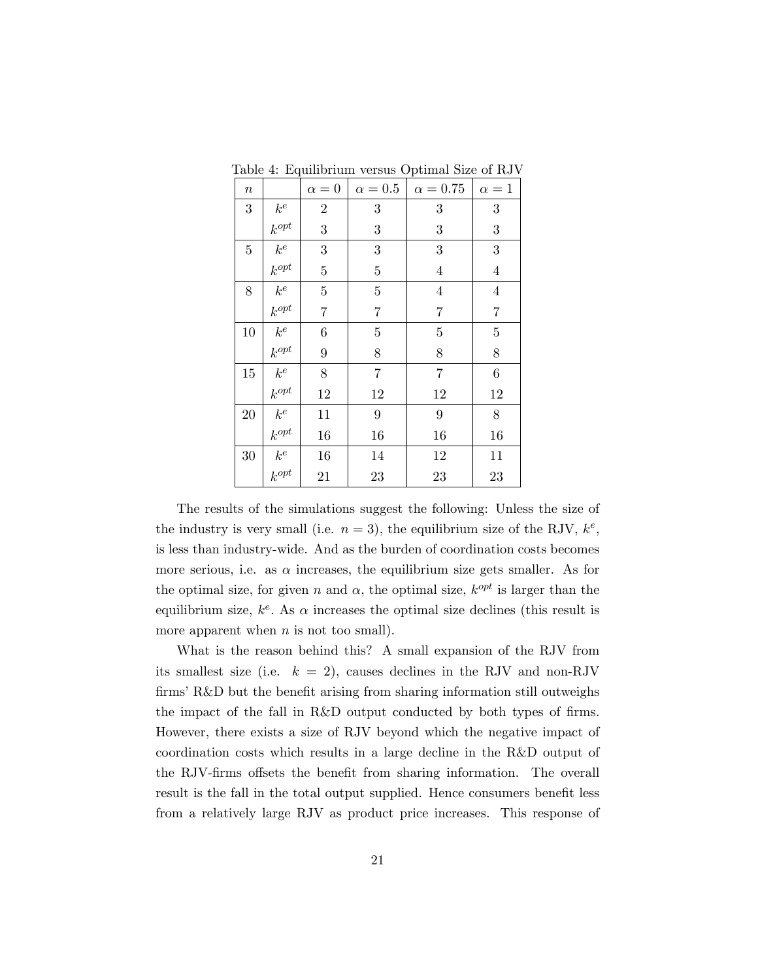| $\boldsymbol{n}$ |           | $\alpha=0$       | $\alpha=0.5$     | $\alpha = 0.75$         | $\alpha=1$       |
|------------------|-----------|------------------|------------------|-------------------------|------------------|
| 3                | $k^e\,$   | $\boldsymbol{2}$ | 3                | 3                       | $\boldsymbol{3}$ |
|                  | $k^{opt}$ | 3                | 3                | $\sqrt{3}$              | 3                |
| $\overline{5}$   | $k^e$     | 3                | 3                | 3                       | $\boldsymbol{3}$ |
|                  | $k^{opt}$ | $\overline{5}$   | $\bf 5$          | $\overline{4}$          | $\overline{4}$   |
| 8                | $k^e\,$   | $\overline{5}$   | $\overline{5}$   | $\overline{\mathbf{4}}$ | $\overline{4}$   |
|                  | $k^{opt}$ | $\overline{7}$   | $\overline{7}$   | $\overline{7}$          | $\overline{7}$   |
| $10\,$           | $k^e\,$   | $\,6$            | $\bf 5$          | $\overline{5}$          | $\overline{5}$   |
|                  | $k^{opt}$ | 9                | 8                | 8                       | $8\,$            |
| 15               | $k^e\,$   | 8                | $\overline{7}$   | $\overline{7}$          | $\!6\,$          |
|                  | $k^{opt}$ | 12               | 12               | 12                      | 12               |
| $20\,$           | $k^e\,$   | 11               | $\boldsymbol{9}$ | $\boldsymbol{9}$        | 8                |
|                  | $k^{opt}$ | 16               | 16               | 16                      | 16               |
| $30\,$           | $k^e\,$   | 16               | 14               | 12                      | 11               |
|                  | $k^{opt}$ | 21               | 23               | 23                      | 23               |

Table 4: Equilibrium versus Optimal Size of RJV

The results of the simulations suggest the following: Unless the size of the industry is very small (i.e.  $n = 3$ ), the equilibrium size of the RJV,  $k^e$ , is less than industry-wide. And as the burden of coordination costs becomes more serious, i.e. as  $\alpha$  increases, the equilibrium size gets smaller. As for the optimal size, for given n and  $\alpha$ , the optimal size,  $k^{opt}$  is larger than the equilibrium size,  $k^e$ . As  $\alpha$  increases the optimal size declines (this result is more apparent when  $n$  is not too small).

What is the reason behind this? A small expansion of the RJV from its smallest size (i.e.  $k = 2$ ), causes declines in the RJV and non-RJV firms  $R&D$  but the benefit arising from sharing information still outweighs the impact of the fall in R&D output conducted by both types of firms. However, there exists a size of RJV beyond which the negative impact of coordination costs which results in a large decline in the R&D output of the RJV-firms offsets the benefit from sharing information. The overall result is the fall in the total output supplied. Hence consumers benefit less from a relatively large RJV as product price increases. This response of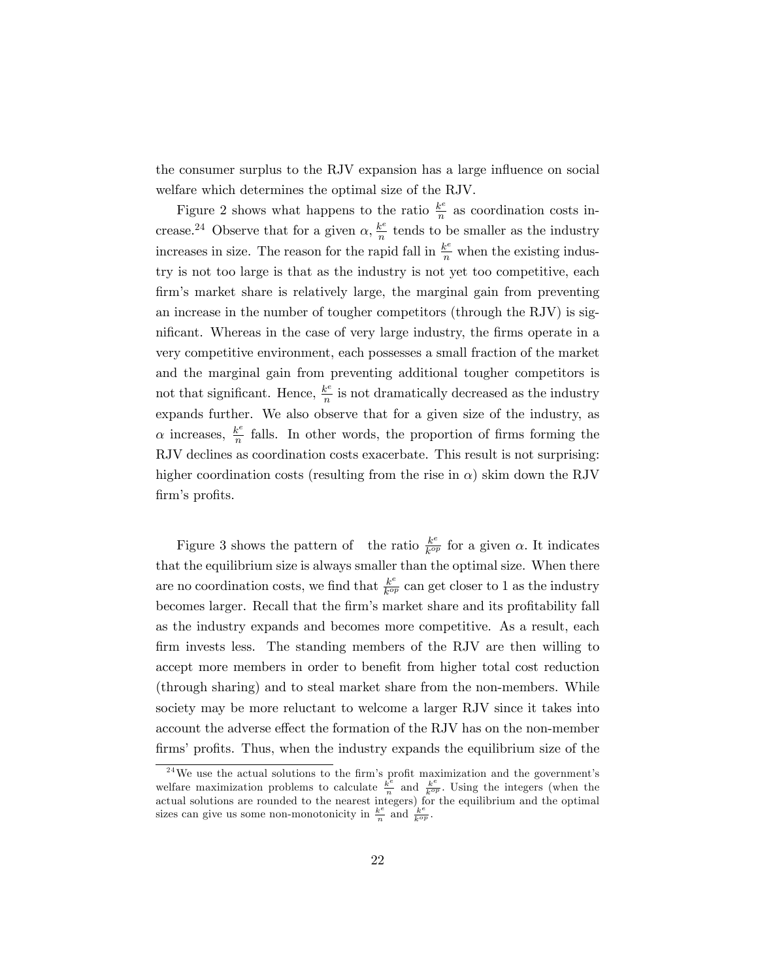the consumer surplus to the RJV expansion has a large influence on social welfare which determines the optimal size of the RJV.

Figure 2 shows what happens to the ratio  $\frac{k^e}{n}$  $\frac{k^e}{n}$  as coordination costs increase.<sup>24</sup> Observe that for a given  $\alpha$ ,  $\frac{k^e}{n}$  $\frac{k^e}{n}$  tends to be smaller as the industry increases in size. The reason for the rapid fall in  $\frac{k^e}{n}$  when the existing industry is not too large is that as the industry is not yet too competitive, each firm's market share is relatively large, the marginal gain from preventing an increase in the number of tougher competitors (through the RJV) is significant. Whereas in the case of very large industry, the firms operate in a very competitive environment, each possesses a small fraction of the market and the marginal gain from preventing additional tougher competitors is not that significant. Hence,  $\frac{k^e}{n}$  $\frac{k^{c}}{n}$  is not dramatically decreased as the industry expands further. We also observe that for a given size of the industry, as  $\alpha$  increases,  $\frac{k^e}{n}$  $\frac{k^e}{n}$  falls. In other words, the proportion of firms forming the RJV declines as coordination costs exacerbate. This result is not surprising: higher coordination costs (resulting from the rise in  $\alpha$ ) skim down the RJV firm's profits.

Figure 3 shows the pattern of the ratio  $\frac{k^e}{k^{op}}$  $\frac{k^e}{k^{op}}$  for a given  $\alpha$ . It indicates that the equilibrium size is always smaller than the optimal size. When there are no coordination costs, we find that  $\frac{k^e}{k^{op}}$  $\frac{k^e}{k^{op}}$  can get closer to 1 as the industry becomes larger. Recall that the firm's market share and its profitability fall as the industry expands and becomes more competitive. As a result, each firm invests less. The standing members of the RJV are then willing to accept more members in order to benefit from higher total cost reduction (through sharing) and to steal market share from the non-members. While society may be more reluctant to welcome a larger RJV since it takes into account the adverse effect the formation of the RJV has on the non-member firms' profits. Thus, when the industry expands the equilibrium size of the

 $^{24}\mathrm{We}$  use the actual solutions to the firm's profit maximization and the government's welfare maximization problems to calculate  $\frac{k^e}{n}$  $\frac{\dot{k}^e}{n}$  and  $\frac{k^e}{k^{op}}$ . Using the integers (when the actual solutions are rounded to the nearest integers) for the equilibrium and the optimal sizes can give us some non-monotonicity in  $\frac{k^e}{n}$  $\frac{k^e}{n}$  and  $\frac{k^e}{k^{op}}$ .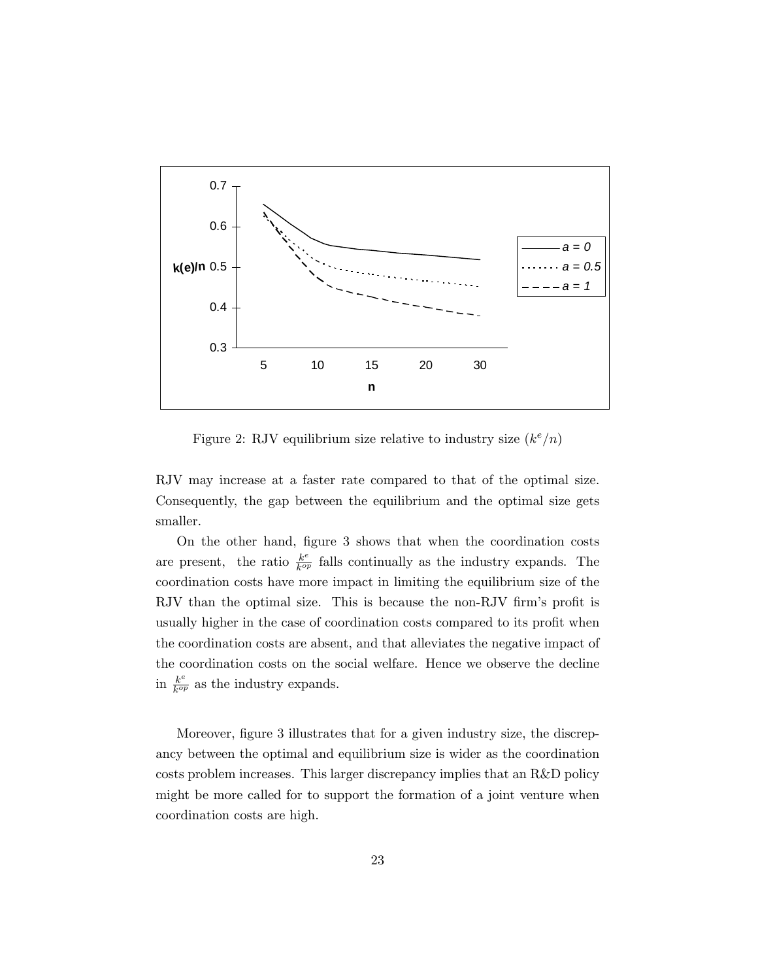

Figure 2: RJV equilibrium size relative to industry size  $(k^e/n)$ 

RJV may increase at a faster rate compared to that of the optimal size. Consequently, the gap between the equilibrium and the optimal size gets smaller.

On the other hand, Ögure 3 shows that when the coordination costs are present, the ratio  $\frac{k^e}{k^{op}}$  $\frac{k^c}{k^{op}}$  falls continually as the industry expands. The coordination costs have more impact in limiting the equilibrium size of the RJV than the optimal size. This is because the non-RJV firm's profit is usually higher in the case of coordination costs compared to its profit when the coordination costs are absent, and that alleviates the negative impact of the coordination costs on the social welfare. Hence we observe the decline in  $\frac{k^e}{k^{op}}$  $\frac{k^e}{k^{op}}$  as the industry expands.

Moreover, figure 3 illustrates that for a given industry size, the discrepancy between the optimal and equilibrium size is wider as the coordination costs problem increases. This larger discrepancy implies that an R&D policy might be more called for to support the formation of a joint venture when coordination costs are high.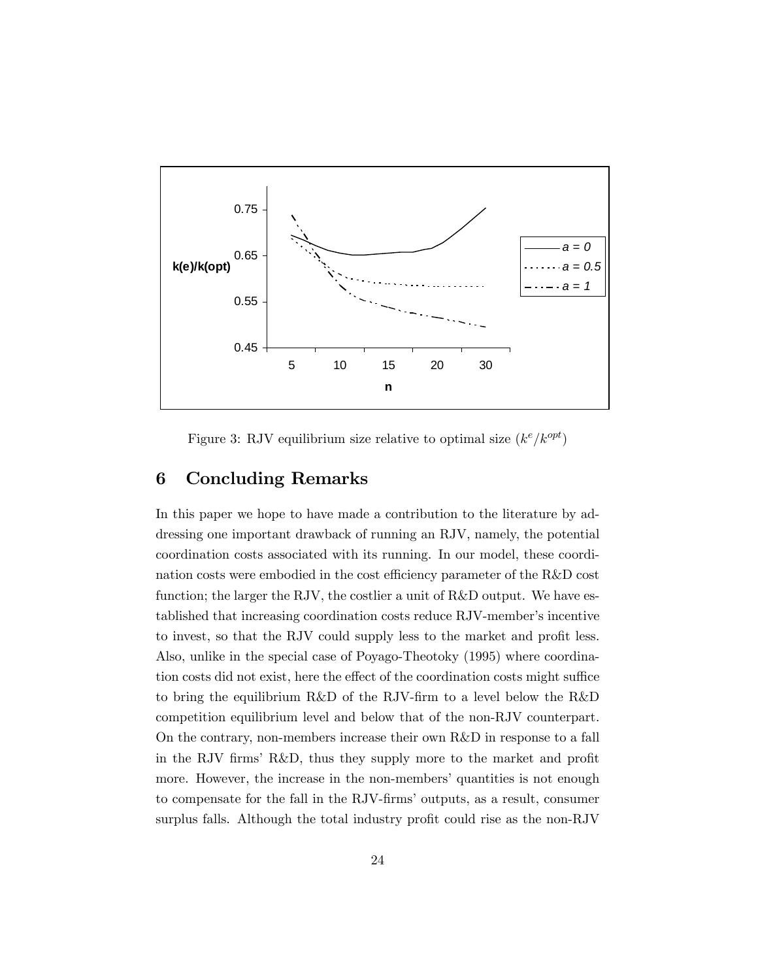

Figure 3: RJV equilibrium size relative to optimal size  $(k^e/k^{opt})$ 

## 6 Concluding Remarks

In this paper we hope to have made a contribution to the literature by addressing one important drawback of running an RJV, namely, the potential coordination costs associated with its running. In our model, these coordination costs were embodied in the cost efficiency parameter of the  $R&D$  cost function; the larger the RJV, the costlier a unit of R&D output. We have established that increasing coordination costs reduce RJV-member's incentive to invest, so that the RJV could supply less to the market and profit less. Also, unlike in the special case of Poyago-Theotoky (1995) where coordination costs did not exist, here the effect of the coordination costs might suffice to bring the equilibrium R&D of the RJV-firm to a level below the R&D competition equilibrium level and below that of the non-RJV counterpart. On the contrary, non-members increase their own R&D in response to a fall in the RJV firms' R&D, thus they supply more to the market and profit more. However, the increase in the non-members' quantities is not enough to compensate for the fall in the RJV-firms' outputs, as a result, consumer surplus falls. Although the total industry profit could rise as the non-RJV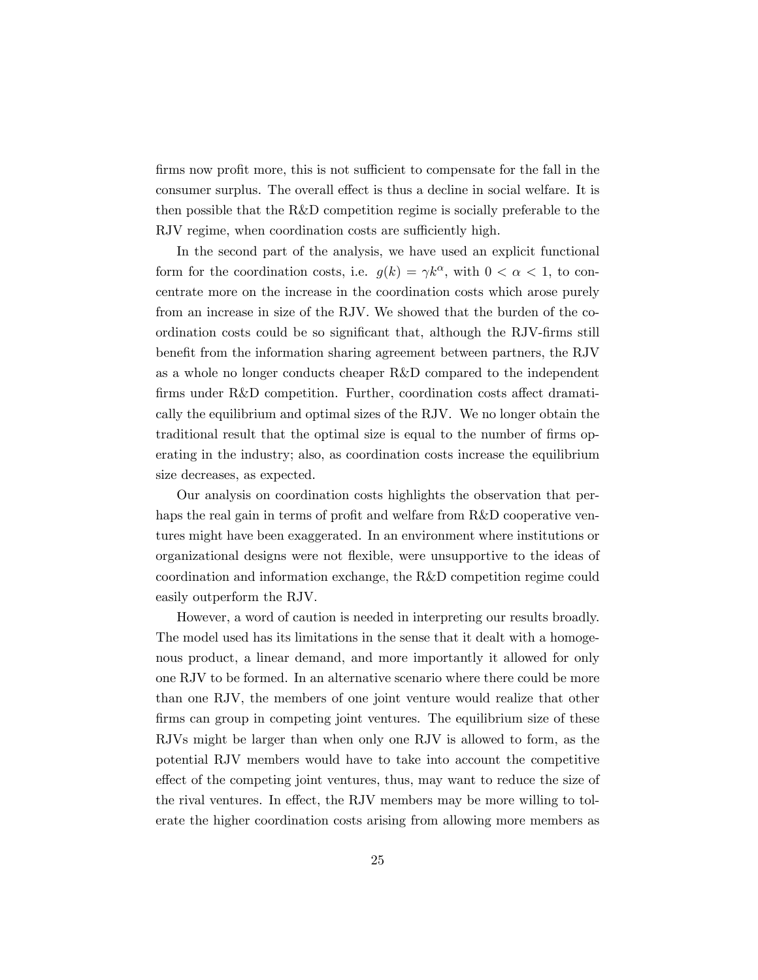firms now profit more, this is not sufficient to compensate for the fall in the consumer surplus. The overall effect is thus a decline in social welfare. It is then possible that the R&D competition regime is socially preferable to the RJV regime, when coordination costs are sufficiently high.

In the second part of the analysis, we have used an explicit functional form for the coordination costs, i.e.  $g(k) = \gamma k^{\alpha}$ , with  $0 < \alpha < 1$ , to concentrate more on the increase in the coordination costs which arose purely from an increase in size of the RJV. We showed that the burden of the coordination costs could be so significant that, although the RJV-firms still benefit from the information sharing agreement between partners, the RJV as a whole no longer conducts cheaper R&D compared to the independent firms under R&D competition. Further, coordination costs affect dramatically the equilibrium and optimal sizes of the RJV. We no longer obtain the traditional result that the optimal size is equal to the number of firms operating in the industry; also, as coordination costs increase the equilibrium size decreases, as expected.

Our analysis on coordination costs highlights the observation that perhaps the real gain in terms of profit and welfare from  $R&D$  cooperative ventures might have been exaggerated. In an environment where institutions or organizational designs were not flexible, were unsupportive to the ideas of coordination and information exchange, the R&D competition regime could easily outperform the RJV.

However, a word of caution is needed in interpreting our results broadly. The model used has its limitations in the sense that it dealt with a homogenous product, a linear demand, and more importantly it allowed for only one RJV to be formed. In an alternative scenario where there could be more than one RJV, the members of one joint venture would realize that other firms can group in competing joint ventures. The equilibrium size of these RJVs might be larger than when only one RJV is allowed to form, as the potential RJV members would have to take into account the competitive effect of the competing joint ventures, thus, may want to reduce the size of the rival ventures. In effect, the RJV members may be more willing to tolerate the higher coordination costs arising from allowing more members as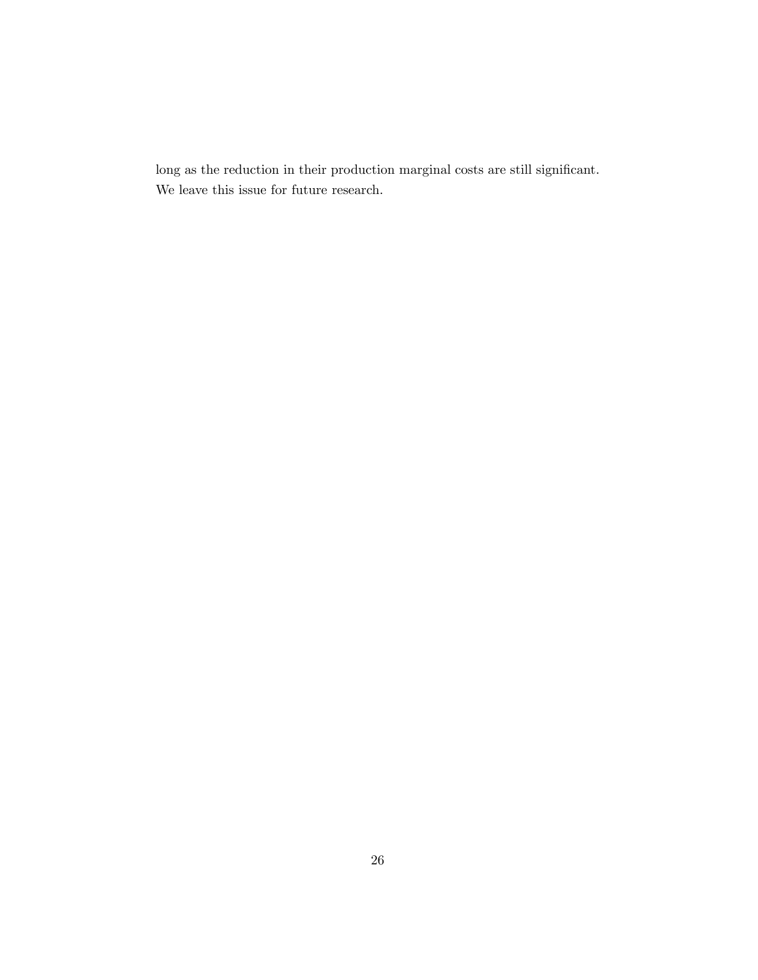$\log$  as the reduction in their production marginal costs are still significant. We leave this issue for future research.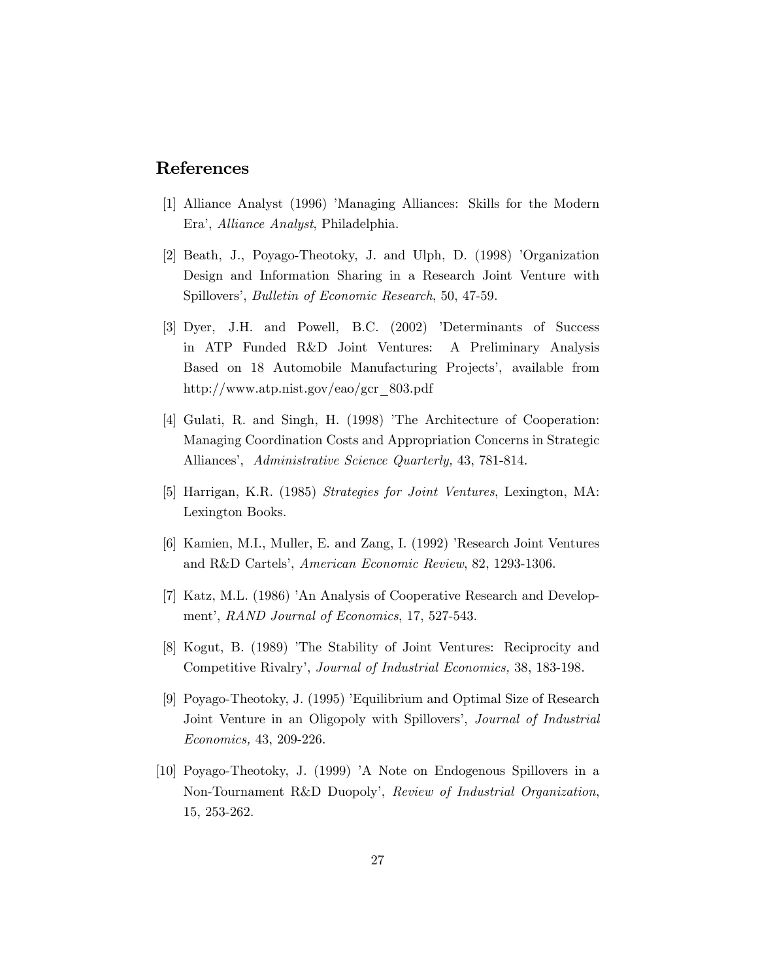### References

- [1] Alliance Analyst (1996) 'Managing Alliances: Skills for the Modern Eraí, Alliance Analyst, Philadelphia.
- [2] Beath, J., Poyago-Theotoky, J. and Ulph, D. (1998) *Organization* Design and Information Sharing in a Research Joint Venture with Spillovers', *Bulletin of Economic Research*, 50, 47-59.
- [3] Dyer, J.H. and Powell, B.C. (2002) 'Determinants of Success in ATP Funded R&D Joint Ventures: A Preliminary Analysis Based on 18 Automobile Manufacturing Projects', available from http://www.atp.nist.gov/eao/gcr\_803.pdf
- [4] Gulati, R. and Singh, H. (1998) The Architecture of Cooperation: Managing Coordination Costs and Appropriation Concerns in Strategic Alliances', Administrative Science Quarterly, 43, 781-814.
- [5] Harrigan, K.R. (1985) Strategies for Joint Ventures, Lexington, MA: Lexington Books.
- [6] Kamien, M.I., Muller, E. and Zang, I. (1992) 'Research Joint Ventures and R&D Cartels', American Economic Review, 82, 1293-1306.
- [7] Katz, M.L. (1986) <sup>'</sup>An Analysis of Cooperative Research and Development', RAND Journal of Economics, 17, 527-543.
- [8] Kogut, B. (1989) 'The Stability of Joint Ventures: Reciprocity and Competitive Rivalry', Journal of Industrial Economics, 38, 183-198.
- [9] Poyago-Theotoky, J. (1995) íEquilibrium and Optimal Size of Research Joint Venture in an Oligopoly with Spillovers', *Journal of Industrial* Economics, 43, 209-226.
- [10] Poyago-Theotoky, J. (1999) 'A Note on Endogenous Spillovers in a Non-Tournament R&D Duopoly', Review of Industrial Organization, 15, 253-262.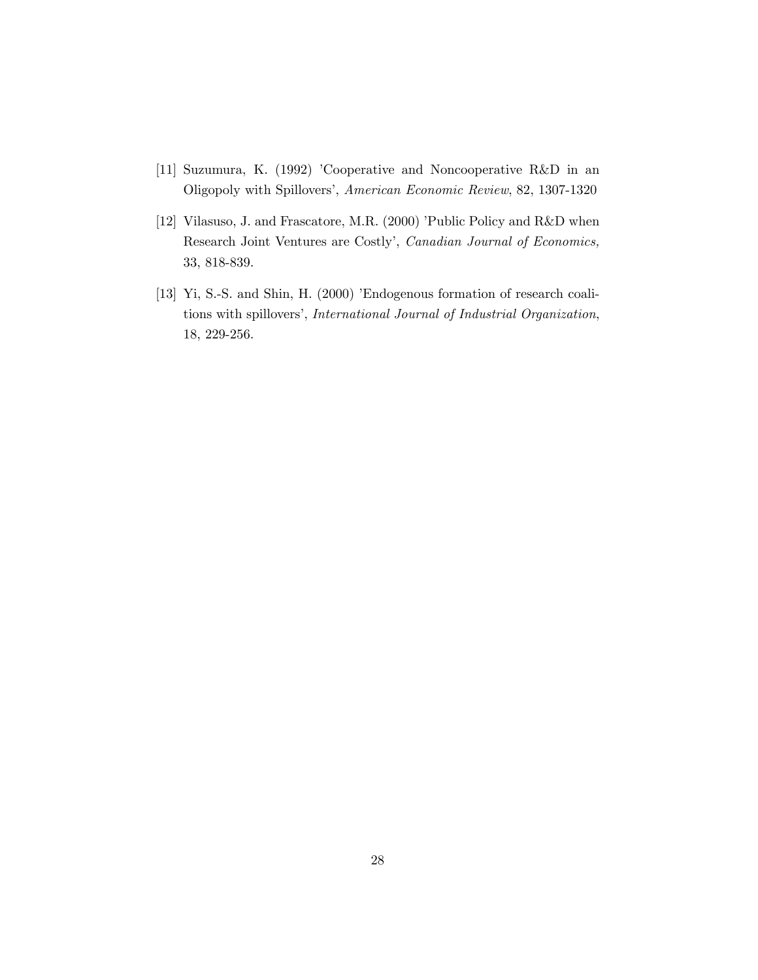- [11] Suzumura, K. (1992) 'Cooperative and Noncooperative R&D in an Oligopoly with Spillovers', American Economic Review, 82, 1307-1320
- [12] Vilasuso, J. and Frascatore, M.R. (2000) 'Public Policy and R&D when Research Joint Ventures are Costly', Canadian Journal of Economics, 33, 818-839.
- [13] Yi, S.-S. and Shin, H. (2000) 'Endogenous formation of research coalitions with spillovers', International Journal of Industrial Organization, 18, 229-256.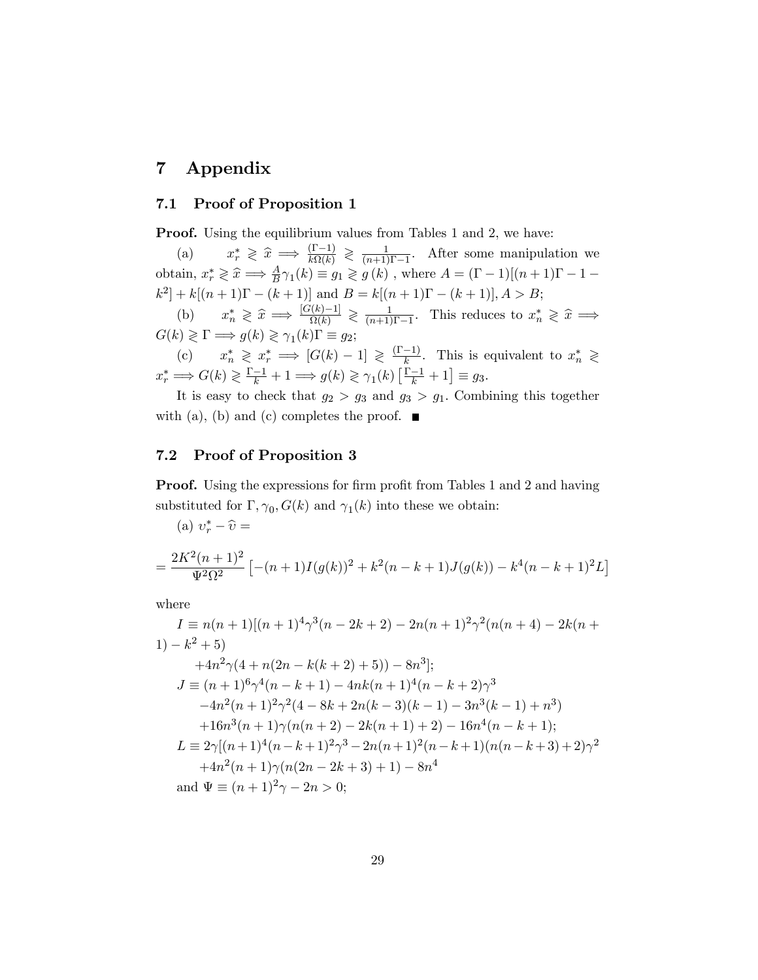# 7 Appendix

#### 7.1 Proof of Proposition 1

Proof. Using the equilibrium values from Tables 1 and 2, we have:

 $(a)$  $r \geqslant \widehat{x} \implies \frac{(\Gamma - 1)}{k\Omega(k)} \geqslant \frac{1}{(n+1)}$  $\frac{1}{(n+1)\Gamma-1}$ . After some manipulation we obtain,  $x_r^* \geq \hat{x} \implies \frac{A}{B} \gamma_1(k) \equiv g_1 \geq g(k)$ , where  $A = (\Gamma - 1)[(n+1)\Gamma - 1 [k^2] + k[(n+1)\Gamma - (k+1)]$  and  $B = k[(n+1)\Gamma - (k+1)], A > B;$ 

(b)  $x_n^* \geq \hat{x} \implies \frac{[G(k)-1]}{\Omega(k)} \geq \frac{1}{(n+1)}$  $\frac{1}{(n+1)\Gamma-1}$ . This reduces to  $x_n^* \geqslant \widehat{x} \implies$  $G(k) \geqslant \Gamma \Longrightarrow g(k) \geqslant \gamma_1(k) \Gamma \equiv g_2;$ 

(c)  $x_n^* \geq x_r^* \implies [G(k) - 1] \geq \frac{(\Gamma - 1)}{k}$ . This is equivalent to  $x_n^* \geq$  $x_r^* \Longrightarrow G(k) \geq \frac{\Gamma - 1}{k} + 1 \Longrightarrow g(k) \geq \gamma_1(k) \left[ \frac{\Gamma - 1}{k} + 1 \right] \equiv g_3.$ 

It is easy to check that  $g_2 > g_3$  and  $g_3 > g_1$ . Combining this together with (a), (b) and (c) completes the proof.  $\blacksquare$ 

#### 7.2 Proof of Proposition 3

**Proof.** Using the expressions for firm profit from Tables 1 and 2 and having substituted for  $\Gamma$ ,  $\gamma_0$ ,  $G(k)$  and  $\gamma_1(k)$  into these we obtain:

(a) 
$$
v_r^* - \hat{v} =
$$
  
= 
$$
\frac{2K^2(n+1)^2}{\Psi^2 \Omega^2} \left[ -(n+1)I(g(k))^2 + k^2(n-k+1)J(g(k)) - k^4(n-k+1)^2L \right]
$$

where

$$
I = n(n+1)[(n+1)^{4}\gamma^{3}(n-2k+2) - 2n(n+1)^{2}\gamma^{2}(n(n+4) - 2k(n+1)) - k^{2} + 5)
$$
  
+4n<sup>2</sup>\gamma(4+n(2n - k(k+2) + 5)) - 8n<sup>3</sup>];  

$$
J = (n+1)^{6}\gamma^{4}(n-k+1) - 4nk(n+1)^{4}(n-k+2)\gamma^{3}
$$
  
-4n<sup>2</sup>(n + 1)<sup>2</sup>\gamma<sup>2</sup>(4-8k+2n(k-3)(k-1) - 3n<sup>3</sup>(k-1) + n<sup>3</sup>)  
+16n<sup>3</sup>(n+1)\gamma(n(n+2) - 2k(n+1) + 2) - 16n<sup>4</sup>(n - k + 1);  

$$
L = 2\gamma[(n+1)^{4}(n-k+1)^{2}\gamma^{3} - 2n(n+1)^{2}(n-k+1)(n(n-k+3) + 2)\gamma^{2}
$$
  
+4n<sup>2</sup>(n + 1)\gamma(n(2n - 2k + 3) + 1) - 8n<sup>4</sup>  
and  $\Psi = (n+1)^{2}\gamma - 2n > 0$ ;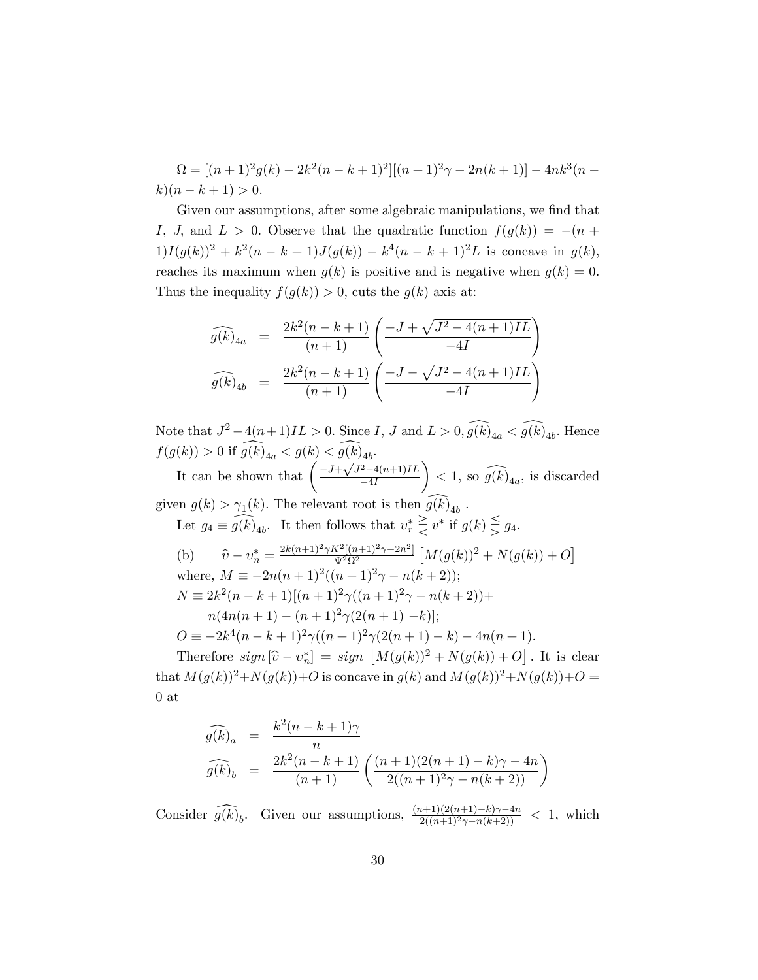$\Omega = [(n + 1)^2 g(k) - 2k^2 (n - k + 1)^2][(n + 1)^2 \gamma - 2n(k + 1)] - 4nk^3(n - k)$  $k(n - k + 1) > 0.$ 

Given our assumptions, after some algebraic manipulations, we find that I, J, and  $L > 0$ . Observe that the quadratic function  $f(g(k)) = -(n +$  $1)I(g(k))^{2} + k^{2}(n - k + 1)J(g(k)) - k^{4}(n - k + 1)^{2}L$  is concave in  $g(k)$ , reaches its maximum when  $g(k)$  is positive and is negative when  $g(k) = 0$ . Thus the inequality  $f(g(k)) > 0$ , cuts the  $g(k)$  axis at:

$$
\widehat{g(k)}_{4a} = \frac{2k^2(n-k+1)}{(n+1)} \left( \frac{-J + \sqrt{J^2 - 4(n+1)IL}}{-4I} \right)
$$

$$
\widehat{g(k)}_{4b} = \frac{2k^2(n-k+1)}{(n+1)} \left( \frac{-J - \sqrt{J^2 - 4(n+1)IL}}{-4I} \right)
$$

Note that  $J^2 - 4(n+1)IL > 0$ . Since I, J and  $L > 0$ ,  $g(k)_{4a} < g(k)_{4b}$ . Hence  $f(g(k)) > 0$  if  $g(k)_{4a} < g(k) < g(k)_{4b}$ . It can be shown that  $\left( \frac{-J + \sqrt{J^2 - 4(n+1)IL}}{-4I} \right)$  $-4I$  $\setminus$  $< 1$ , so  $g(k)_{4a}$ , is discarded given  $g(k) > \gamma_1(k)$ . The relevant root is then  $g(k)_{4b}$ . Let  $g_4 \equiv g(k)_{4b}$ . It then follows that  $v_r^* \leq v^*$  if  $g(k) \geq g_4$ . (b)  $\hat{v} - v_n^* = \frac{2k(n+1)^2 \gamma K^2[(n+1)^2 \gamma - 2n^2]}{v^2 \Omega^2}$  $\frac{X^2[(n+1)^2\gamma-2n^2]}{\Psi^2\Omega^2}\left[M(g(k))^2+N(g(k))+O\right]$ where,  $M \equiv -2n(n+1)^2((n+1)^2\gamma - n(k+2));$  $N \equiv 2k^2(n-k+1)[(n+1)^2\gamma((n+1)^2\gamma - n(k+2)) +$  $n(4n(n+1) - (n+1)^2\gamma(2(n+1) - k))$ ;  $O \equiv -2k^4(n-k+1)^2\gamma((n+1)^2\gamma(2(n+1)-k) - 4n(n+1)).$ Therefore  $sign\left[\hat{v} - v_n^*\right] = sign\left[M(g(k))^2 + N(g(k)) + O\right]$ . It is clear

that  $M(g(k))^{2}+N(g(k))+O$  is concave in  $g(k)$  and  $M(g(k))^{2}+N(g(k))+O=$ 0 at

$$
\widehat{g(k)}_a = \frac{k^2(n-k+1)\gamma}{n}
$$
  

$$
\widehat{g(k)}_b = \frac{2k^2(n-k+1)}{(n+1)} \left( \frac{(n+1)(2(n+1)-k)\gamma - 4n}{2((n+1)^2\gamma - n(k+2))} \right)
$$

Consider  $\widehat{g(k)}_b$ . Given our assumptions,  $\frac{(n+1)(2(n+1)-k)\gamma-4n}{2((n+1)^2\gamma-n(k+2))} < 1$ , which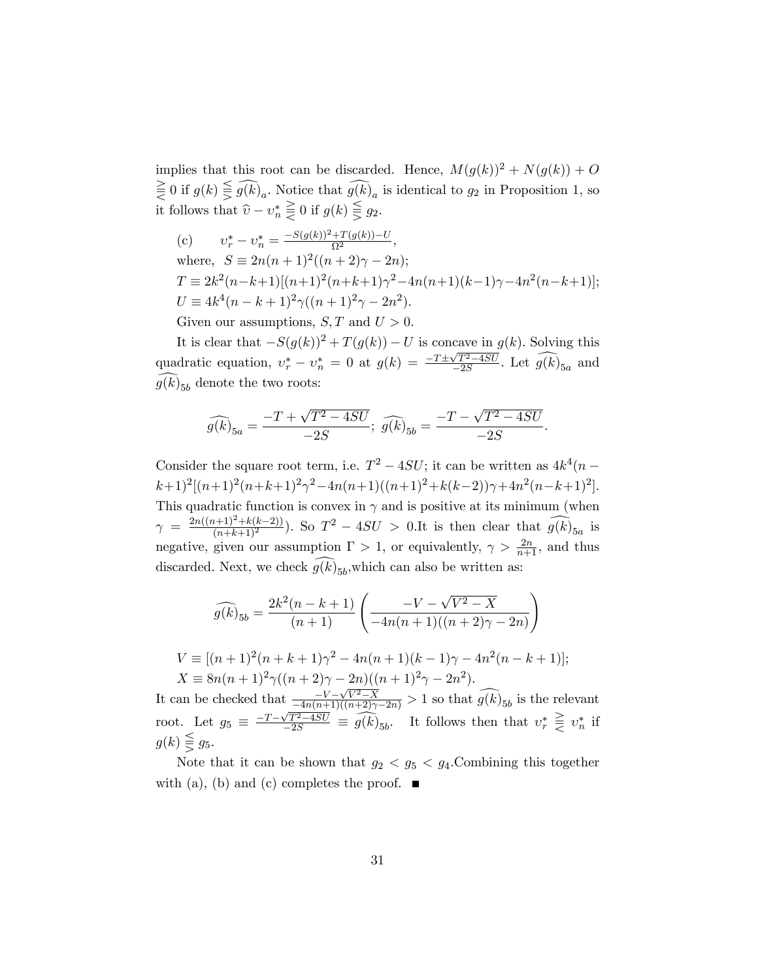implies that this root can be discarded. Hence,  $M(g(k))^{2} + N(g(k)) + O$  $\leq 0$  if  $g(k) \geq g(k)<sub>a</sub>$ . Notice that  $g(k)<sub>a</sub>$  is identical to  $g<sub>2</sub>$  in Proposition 1, so it follows that  $\widehat{v} - v_n^* \leq 0$  if  $g(k) \geq g_2$ .

(c) 
$$
v_r^* - v_n^* = \frac{-S(g(k))^2 + T(g(k)) - U}{\Omega^2}
$$
,  
\nwhere,  $S \equiv 2n(n+1)^2((n+2)\gamma - 2n);$   
\n $T \equiv 2k^2(n-k+1)[(n+1)^2(n+k+1)\gamma^2 - 4n(n+1)(k-1)\gamma - 4n^2(n-k+1)];$   
\n $U \equiv 4k^4(n-k+1)^2\gamma((n+1)^2\gamma - 2n^2).$ 

Given our assumptions,  $S, T$  and  $U > 0$ .

It is clear that  $-S(g(k))^2 + T(g(k)) - U$  is concave in  $g(k)$ . Solving this quadratic equation,  $v_r^* - v_n^* = 0$  at  $g(k) = \frac{-T \pm \sqrt{T^2 - 4SU}}{-2S}$  $\frac{\sqrt{T^2-4SU}}{-2S}$ . Let  $g(k)_{5a}$  and  $g(k)_{5b}$  denote the two roots:

$$
\widehat{g(k)}_{5a} = \frac{-T + \sqrt{T^2 - 4SU}}{-2S}; \ \widehat{g(k)}_{5b} = \frac{-T - \sqrt{T^2 - 4SU}}{-2S}.
$$

Consider the square root term, i.e.  $T^2 - 4SU$ ; it can be written as  $4k^4(n (k+1)^{2}[(n+1)^{2}(n+k+1)^{2}\gamma^{2}-4n(n+1)((n+1)^{2}+k(k-2))\gamma+4n^{2}(n-k+1)^{2}].$ This quadratic function is convex in  $\gamma$  and is positive at its minimum (when  $\gamma = \frac{2n((n+1)^2 + k(k-2))}{(n+k+1)^2}$ . So  $T^2 - 4SU > 0.$ It is then clear that  $\widehat{g(k)}_{5a}$  is negative, given our assumption  $\Gamma > 1$ , or equivalently,  $\gamma > \frac{2n}{n+1}$ , and thus discarded. Next, we check  $g(k)_{5b}$ , which can also be written as:

$$
\widehat{g(k)}_{5b} = \frac{2k^2(n-k+1)}{(n+1)} \left( \frac{-V - \sqrt{V^2 - X}}{-4n(n+1)((n+2)\gamma - 2n)} \right)
$$

$$
V \equiv [(n+1)^2(n+k+1)\gamma^2 - 4n(n+1)(k-1)\gamma - 4n^2(n-k+1)];
$$
  
\n
$$
X \equiv 8n(n+1)^2\gamma((n+2)\gamma - 2n)((n+1)^2\gamma - 2n^2).
$$

It can be checked that  $\frac{-V - \sqrt{V^2 - X}}{-4n(n+1)((n+2)\gamma - 2n)} > 1$  so that  $\widehat{g(k)}_{5b}$  is the relevant root. Let  $g_5 \equiv \frac{-T-\sqrt{T^2-4SU}}{-2S} \equiv \widehat{g(k)}_{5b}$ . It follows then that  $v_r^* \geqq v_n^*$  if  $g(k) \leq g_5$ .

Note that it can be shown that  $g_2 < g_5 < g_4$ . Combining this together with (a), (b) and (c) completes the proof.  $\blacksquare$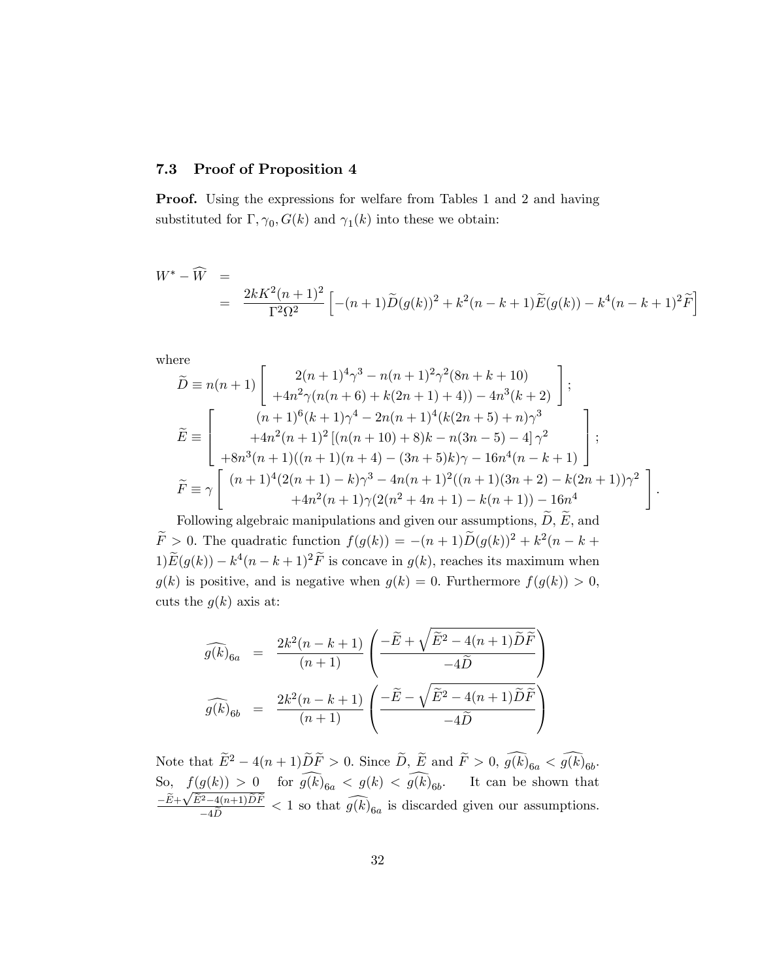#### 7.3 Proof of Proposition 4

Proof. Using the expressions for welfare from Tables 1 and 2 and having substituted for  $\Gamma$ ,  $\gamma_0$ ,  $G(k)$  and  $\gamma_1(k)$  into these we obtain:

$$
W^* - \widehat{W} =
$$
  
= 
$$
\frac{2kK^2(n+1)^2}{\Gamma^2 \Omega^2} \left[ -(n+1)\widetilde{D}(g(k))^2 + k^2(n-k+1)\widetilde{E}(g(k)) - k^4(n-k+1)^2 \widetilde{F} \right]
$$

where

$$
\widetilde{D} = n(n+1) \begin{bmatrix} 2(n+1)^4 \gamma^3 - n(n+1)^2 \gamma^2 (8n+k+10) \\ +4n^2 \gamma (n(n+6) + k(2n+1) + 4)) - 4n^3(k+2) \end{bmatrix};
$$
\n
$$
\widetilde{E} = \begin{bmatrix} (n+1)^6 (k+1) \gamma^4 - 2n(n+1)^4 (k(2n+5) + n) \gamma^3 \\ +4n^2(n+1)^2 [(n(n+10) + 8)k - n(3n-5) - 4] \gamma^2 \\ +8n^3(n+1)((n+1)(n+4) - (3n+5)k) \gamma - 16n^4(n-k+1) \end{bmatrix};
$$
\n
$$
\widetilde{F} = \gamma \begin{bmatrix} (n+1)^4 (2(n+1) - k) \gamma^3 - 4n(n+1)^2 ((n+1)(3n+2) - k(2n+1)) \gamma^2 \\ +4n^2(n+1) \gamma (2(n^2+4n+1) - k(n+1)) - 16n^4 \end{bmatrix}
$$

:

Following algebraic manipulations and given our assumptions,  $\ddot{D}$ ,  $\ddot{E}$ , and  $\widetilde{F} > 0$ . The quadratic function  $f(g(k)) = -(n+1)\widetilde{D}(g(k))^2 + k^2(n-k+1)$  $1\tilde{E}(g(k)) - k^4(n - k + 1)^2 \tilde{F}$  is concave in  $g(k)$ , reaches its maximum when  $g(k)$  is positive, and is negative when  $g(k) = 0$ . Furthermore  $f(g(k)) > 0$ , cuts the  $g(k)$  axis at:

$$
\widehat{g(k)}_{6a} = \frac{2k^2(n-k+1)}{(n+1)} \left( \frac{-\widetilde{E} + \sqrt{\widetilde{E}^2 - 4(n+1)\widetilde{D}\widetilde{F}}}{-4\widetilde{D}} \right)
$$

$$
\widehat{g(k)}_{6b} = \frac{2k^2(n-k+1)}{(n+1)} \left( \frac{-\widetilde{E} - \sqrt{\widetilde{E}^2 - 4(n+1)\widetilde{D}\widetilde{F}}}{-4\widetilde{D}} \right)
$$

Note that  $\widetilde{E}^2 - 4(n+1)\widetilde{D}\widetilde{F} > 0$ . Since  $\widetilde{D}$ ,  $\widetilde{E}$  and  $\widetilde{F} > 0$ ,  $g(k)_{6a} < g(k)_{6b}$ . So,  $f(g(k)) > 0$  for  $g(k)_{6a} < g(k) < g(k)_{6b}$ . It can be shown that  $-\frac{\widetilde{E}+\sqrt{\widetilde{E}^2-4(n+1)\widetilde{D}\widetilde{F}}}{-4\widetilde{D}}$  < 1 so that  $\widehat{g(k)}_{6a}$  is discarded given our assumptions.